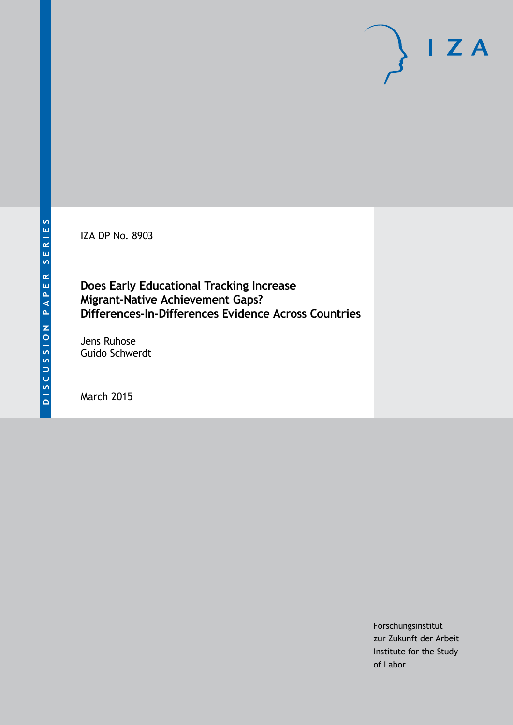IZA DP No. 8903

## **Does Early Educational Tracking Increase Migrant-Native Achievement Gaps? Differences-In-Differences Evidence Across Countries**

Jens Ruhose Guido Schwerdt

March 2015

Forschungsinstitut zur Zukunft der Arbeit Institute for the Study of Labor

 $I Z A$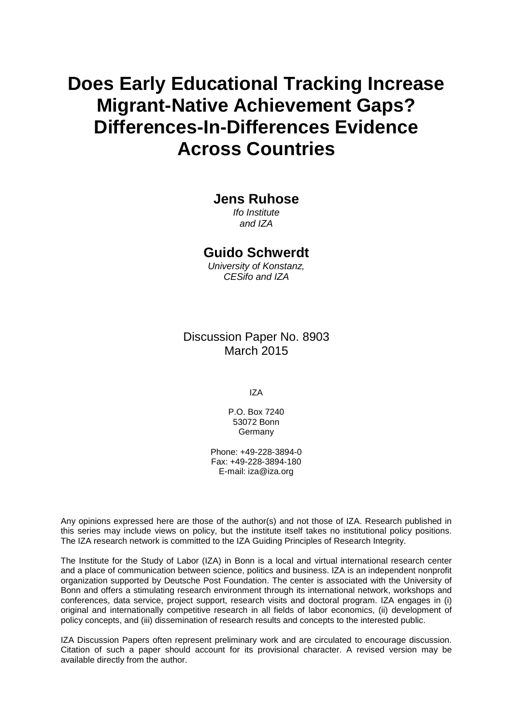# **Does Early Educational Tracking Increase Migrant-Native Achievement Gaps? Differences-In-Differences Evidence Across Countries**

### **Jens Ruhose**

*Ifo Institute and IZA*

## **Guido Schwerdt**

*University of Konstanz, CESifo and IZA*

Discussion Paper No. 8903 March 2015

IZA

P.O. Box 7240 53072 Bonn Germany

Phone: +49-228-3894-0 Fax: +49-228-3894-180 E-mail: iza@iza.org

Any opinions expressed here are those of the author(s) and not those of IZA. Research published in this series may include views on policy, but the institute itself takes no institutional policy positions. The IZA research network is committed to the IZA Guiding Principles of Research Integrity.

The Institute for the Study of Labor (IZA) in Bonn is a local and virtual international research center and a place of communication between science, politics and business. IZA is an independent nonprofit organization supported by Deutsche Post Foundation. The center is associated with the University of Bonn and offers a stimulating research environment through its international network, workshops and conferences, data service, project support, research visits and doctoral program. IZA engages in (i) original and internationally competitive research in all fields of labor economics, (ii) development of policy concepts, and (iii) dissemination of research results and concepts to the interested public.

<span id="page-1-0"></span>IZA Discussion Papers often represent preliminary work and are circulated to encourage discussion. Citation of such a paper should account for its provisional character. A revised version may be available directly from the author.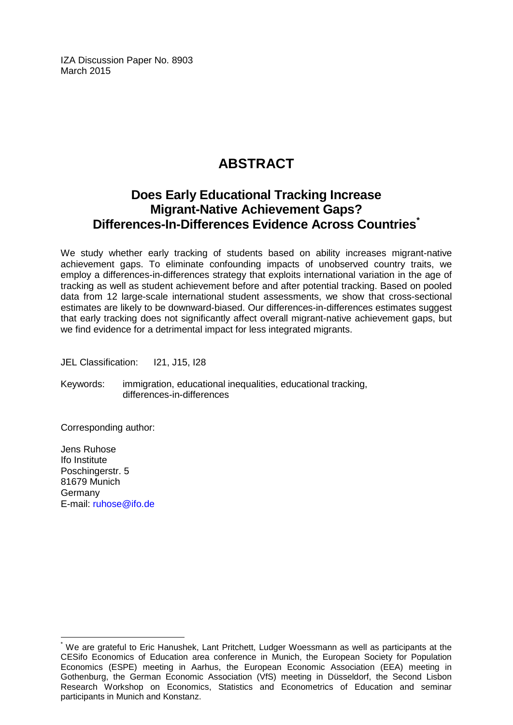IZA Discussion Paper No. 8903 March 2015

## **ABSTRACT**

## **Does Early Educational Tracking Increase Migrant-Native Achievement Gaps? Differences-In-Differences Evidence Across Countries[\\*](#page-1-0)**

We study whether early tracking of students based on ability increases migrant-native achievement gaps. To eliminate confounding impacts of unobserved country traits, we employ a differences-in-differences strategy that exploits international variation in the age of tracking as well as student achievement before and after potential tracking. Based on pooled data from 12 large-scale international student assessments, we show that cross-sectional estimates are likely to be downward-biased. Our differences-in-differences estimates suggest that early tracking does not significantly affect overall migrant-native achievement gaps, but we find evidence for a detrimental impact for less integrated migrants.

JEL Classification: I21, J15, I28

Keywords: immigration, educational inequalities, educational tracking, differences-in-differences

Corresponding author:

Jens Ruhose Ifo Institute Poschingerstr, 5 81679 Munich Germany E-mail: [ruhose@ifo.de](mailto:ruhose@ifo.de)

We are grateful to Eric Hanushek, Lant Pritchett, Ludger Woessmann as well as participants at the CESifo Economics of Education area conference in Munich, the European Society for Population Economics (ESPE) meeting in Aarhus, the European Economic Association (EEA) meeting in Gothenburg, the German Economic Association (VfS) meeting in Düsseldorf, the Second Lisbon Research Workshop on Economics, Statistics and Econometrics of Education and seminar participants in Munich and Konstanz.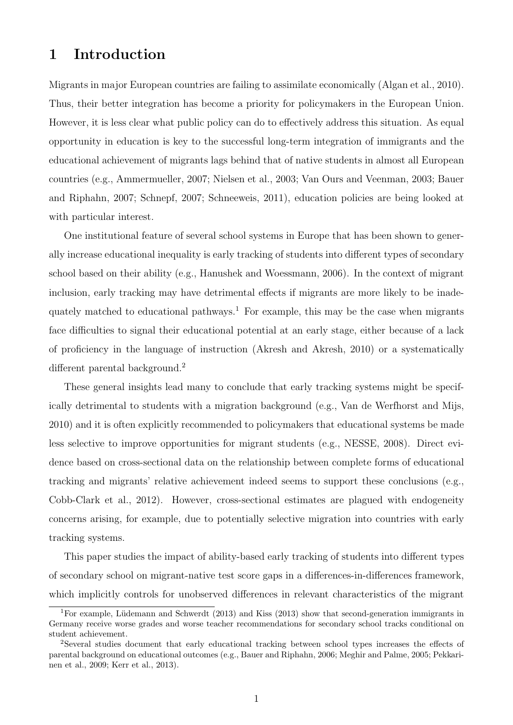## 1 Introduction

Migrants in major European countries are failing to assimilate economically (Algan et al., 2010). Thus, their better integration has become a priority for policymakers in the European Union. However, it is less clear what public policy can do to effectively address this situation. As equal opportunity in education is key to the successful long-term integration of immigrants and the educational achievement of migrants lags behind that of native students in almost all European countries (e.g., Ammermueller, 2007; Nielsen et al., 2003; Van Ours and Veenman, 2003; Bauer and Riphahn, 2007; Schnepf, 2007; Schneeweis, 2011), education policies are being looked at with particular interest.

One institutional feature of several school systems in Europe that has been shown to generally increase educational inequality is early tracking of students into different types of secondary school based on their ability (e.g., Hanushek and Woessmann, 2006). In the context of migrant inclusion, early tracking may have detrimental effects if migrants are more likely to be inadequately matched to educational pathways.<sup>1</sup> For example, this may be the case when migrants face difficulties to signal their educational potential at an early stage, either because of a lack of proficiency in the language of instruction (Akresh and Akresh, 2010) or a systematically different parental background.<sup>2</sup>

These general insights lead many to conclude that early tracking systems might be specifically detrimental to students with a migration background (e.g., Van de Werfhorst and Mijs, 2010) and it is often explicitly recommended to policymakers that educational systems be made less selective to improve opportunities for migrant students (e.g., NESSE, 2008). Direct evidence based on cross-sectional data on the relationship between complete forms of educational tracking and migrants' relative achievement indeed seems to support these conclusions (e.g., Cobb-Clark et al., 2012). However, cross-sectional estimates are plagued with endogeneity concerns arising, for example, due to potentially selective migration into countries with early tracking systems.

This paper studies the impact of ability-based early tracking of students into different types of secondary school on migrant-native test score gaps in a differences-in-differences framework, which implicitly controls for unobserved differences in relevant characteristics of the migrant

<sup>&</sup>lt;sup>1</sup>For example, Lüdemann and Schwerdt (2013) and Kiss (2013) show that second-generation immigrants in Germany receive worse grades and worse teacher recommendations for secondary school tracks conditional on student achievement.

<sup>2</sup>Several studies document that early educational tracking between school types increases the effects of parental background on educational outcomes (e.g., Bauer and Riphahn, 2006; Meghir and Palme, 2005; Pekkarinen et al., 2009; Kerr et al., 2013).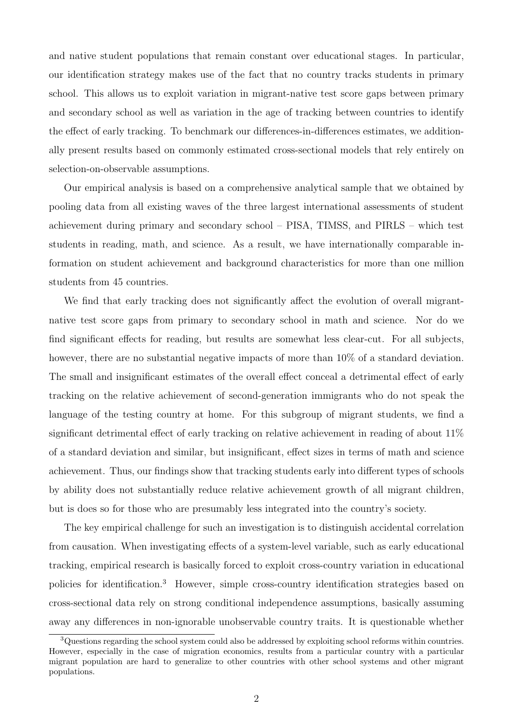and native student populations that remain constant over educational stages. In particular, our identification strategy makes use of the fact that no country tracks students in primary school. This allows us to exploit variation in migrant-native test score gaps between primary and secondary school as well as variation in the age of tracking between countries to identify the effect of early tracking. To benchmark our differences-in-differences estimates, we additionally present results based on commonly estimated cross-sectional models that rely entirely on selection-on-observable assumptions.

Our empirical analysis is based on a comprehensive analytical sample that we obtained by pooling data from all existing waves of the three largest international assessments of student achievement during primary and secondary school – PISA, TIMSS, and PIRLS – which test students in reading, math, and science. As a result, we have internationally comparable information on student achievement and background characteristics for more than one million students from 45 countries.

We find that early tracking does not significantly affect the evolution of overall migrantnative test score gaps from primary to secondary school in math and science. Nor do we find significant effects for reading, but results are somewhat less clear-cut. For all subjects, however, there are no substantial negative impacts of more than  $10\%$  of a standard deviation. The small and insignificant estimates of the overall effect conceal a detrimental effect of early tracking on the relative achievement of second-generation immigrants who do not speak the language of the testing country at home. For this subgroup of migrant students, we find a significant detrimental effect of early tracking on relative achievement in reading of about 11% of a standard deviation and similar, but insignificant, effect sizes in terms of math and science achievement. Thus, our findings show that tracking students early into different types of schools by ability does not substantially reduce relative achievement growth of all migrant children, but is does so for those who are presumably less integrated into the country's society.

The key empirical challenge for such an investigation is to distinguish accidental correlation from causation. When investigating effects of a system-level variable, such as early educational tracking, empirical research is basically forced to exploit cross-country variation in educational policies for identification.<sup>3</sup> However, simple cross-country identification strategies based on cross-sectional data rely on strong conditional independence assumptions, basically assuming away any differences in non-ignorable unobservable country traits. It is questionable whether

<sup>3</sup>Questions regarding the school system could also be addressed by exploiting school reforms within countries. However, especially in the case of migration economics, results from a particular country with a particular migrant population are hard to generalize to other countries with other school systems and other migrant populations.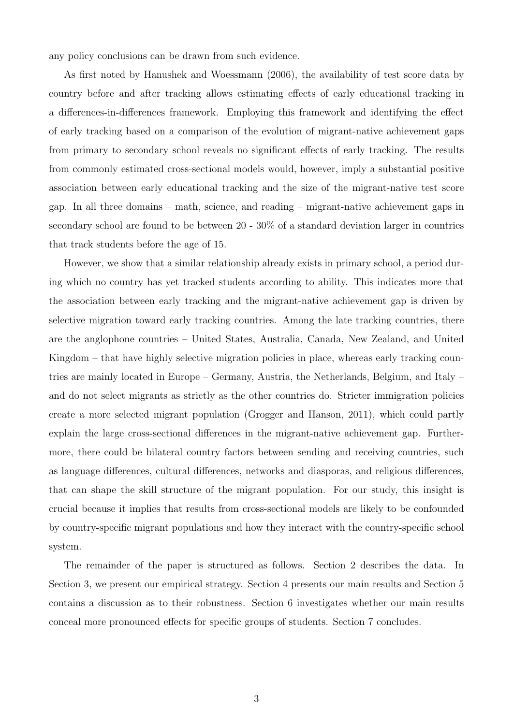any policy conclusions can be drawn from such evidence.

As first noted by Hanushek and Woessmann (2006), the availability of test score data by country before and after tracking allows estimating effects of early educational tracking in a differences-in-differences framework. Employing this framework and identifying the effect of early tracking based on a comparison of the evolution of migrant-native achievement gaps from primary to secondary school reveals no significant effects of early tracking. The results from commonly estimated cross-sectional models would, however, imply a substantial positive association between early educational tracking and the size of the migrant-native test score gap. In all three domains – math, science, and reading – migrant-native achievement gaps in secondary school are found to be between 20 - 30% of a standard deviation larger in countries that track students before the age of 15.

However, we show that a similar relationship already exists in primary school, a period during which no country has yet tracked students according to ability. This indicates more that the association between early tracking and the migrant-native achievement gap is driven by selective migration toward early tracking countries. Among the late tracking countries, there are the anglophone countries – United States, Australia, Canada, New Zealand, and United Kingdom – that have highly selective migration policies in place, whereas early tracking countries are mainly located in Europe – Germany, Austria, the Netherlands, Belgium, and Italy – and do not select migrants as strictly as the other countries do. Stricter immigration policies create a more selected migrant population (Grogger and Hanson, 2011), which could partly explain the large cross-sectional differences in the migrant-native achievement gap. Furthermore, there could be bilateral country factors between sending and receiving countries, such as language differences, cultural differences, networks and diasporas, and religious differences, that can shape the skill structure of the migrant population. For our study, this insight is crucial because it implies that results from cross-sectional models are likely to be confounded by country-specific migrant populations and how they interact with the country-specific school system.

The remainder of the paper is structured as follows. Section 2 describes the data. In Section 3, we present our empirical strategy. Section 4 presents our main results and Section 5 contains a discussion as to their robustness. Section 6 investigates whether our main results conceal more pronounced effects for specific groups of students. Section 7 concludes.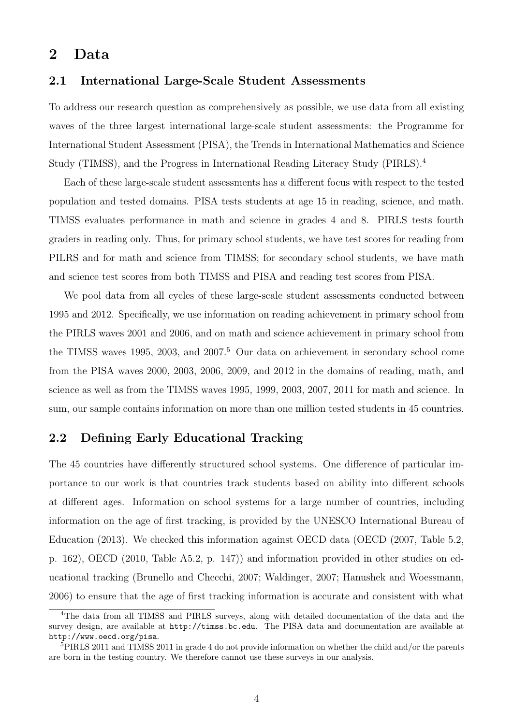## 2 Data

### 2.1 International Large-Scale Student Assessments

To address our research question as comprehensively as possible, we use data from all existing waves of the three largest international large-scale student assessments: the Programme for International Student Assessment (PISA), the Trends in International Mathematics and Science Study (TIMSS), and the Progress in International Reading Literacy Study (PIRLS).<sup>4</sup>

Each of these large-scale student assessments has a different focus with respect to the tested population and tested domains. PISA tests students at age 15 in reading, science, and math. TIMSS evaluates performance in math and science in grades 4 and 8. PIRLS tests fourth graders in reading only. Thus, for primary school students, we have test scores for reading from PILRS and for math and science from TIMSS; for secondary school students, we have math and science test scores from both TIMSS and PISA and reading test scores from PISA.

We pool data from all cycles of these large-scale student assessments conducted between 1995 and 2012. Specifically, we use information on reading achievement in primary school from the PIRLS waves 2001 and 2006, and on math and science achievement in primary school from the TIMSS waves 1995, 2003, and 2007.<sup>5</sup> Our data on achievement in secondary school come from the PISA waves 2000, 2003, 2006, 2009, and 2012 in the domains of reading, math, and science as well as from the TIMSS waves 1995, 1999, 2003, 2007, 2011 for math and science. In sum, our sample contains information on more than one million tested students in 45 countries.

### 2.2 Defining Early Educational Tracking

The 45 countries have differently structured school systems. One difference of particular importance to our work is that countries track students based on ability into different schools at different ages. Information on school systems for a large number of countries, including information on the age of first tracking, is provided by the UNESCO International Bureau of Education (2013). We checked this information against OECD data (OECD (2007, Table 5.2, p. 162), OECD (2010, Table A5.2, p. 147)) and information provided in other studies on educational tracking (Brunello and Checchi, 2007; Waldinger, 2007; Hanushek and Woessmann, 2006) to ensure that the age of first tracking information is accurate and consistent with what

<sup>4</sup>The data from all TIMSS and PIRLS surveys, along with detailed documentation of the data and the survey design, are available at http://timss.bc.edu. The PISA data and documentation are available at http://www.oecd.org/pisa.

<sup>5</sup>PIRLS 2011 and TIMSS 2011 in grade 4 do not provide information on whether the child and/or the parents are born in the testing country. We therefore cannot use these surveys in our analysis.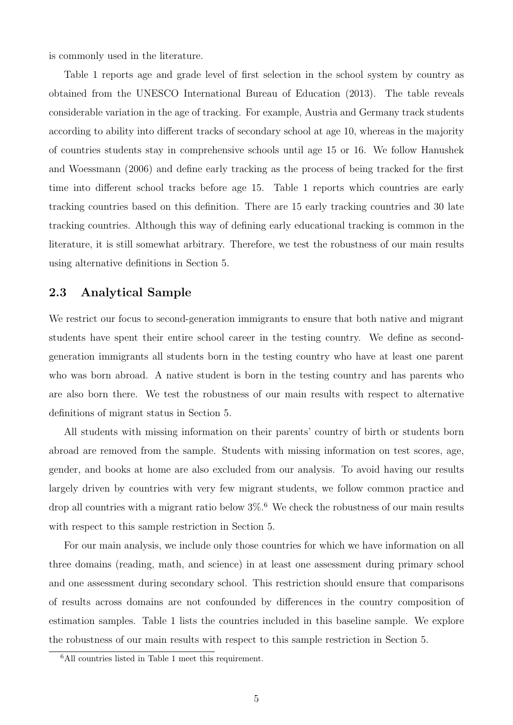is commonly used in the literature.

Table 1 reports age and grade level of first selection in the school system by country as obtained from the UNESCO International Bureau of Education (2013). The table reveals considerable variation in the age of tracking. For example, Austria and Germany track students according to ability into different tracks of secondary school at age 10, whereas in the majority of countries students stay in comprehensive schools until age 15 or 16. We follow Hanushek and Woessmann (2006) and define early tracking as the process of being tracked for the first time into different school tracks before age 15. Table 1 reports which countries are early tracking countries based on this definition. There are 15 early tracking countries and 30 late tracking countries. Although this way of defining early educational tracking is common in the literature, it is still somewhat arbitrary. Therefore, we test the robustness of our main results using alternative definitions in Section 5.

### 2.3 Analytical Sample

We restrict our focus to second-generation immigrants to ensure that both native and migrant students have spent their entire school career in the testing country. We define as secondgeneration immigrants all students born in the testing country who have at least one parent who was born abroad. A native student is born in the testing country and has parents who are also born there. We test the robustness of our main results with respect to alternative definitions of migrant status in Section 5.

All students with missing information on their parents' country of birth or students born abroad are removed from the sample. Students with missing information on test scores, age, gender, and books at home are also excluded from our analysis. To avoid having our results largely driven by countries with very few migrant students, we follow common practice and drop all countries with a migrant ratio below  $3\%$ .<sup>6</sup> We check the robustness of our main results with respect to this sample restriction in Section 5.

For our main analysis, we include only those countries for which we have information on all three domains (reading, math, and science) in at least one assessment during primary school and one assessment during secondary school. This restriction should ensure that comparisons of results across domains are not confounded by differences in the country composition of estimation samples. Table 1 lists the countries included in this baseline sample. We explore the robustness of our main results with respect to this sample restriction in Section 5.

<sup>6</sup>All countries listed in Table 1 meet this requirement.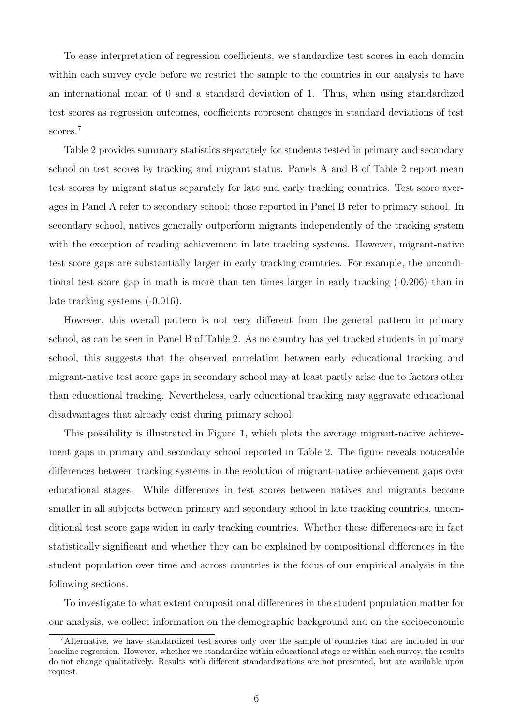To ease interpretation of regression coefficients, we standardize test scores in each domain within each survey cycle before we restrict the sample to the countries in our analysis to have an international mean of 0 and a standard deviation of 1. Thus, when using standardized test scores as regression outcomes, coefficients represent changes in standard deviations of test scores.<sup>7</sup>

Table 2 provides summary statistics separately for students tested in primary and secondary school on test scores by tracking and migrant status. Panels A and B of Table 2 report mean test scores by migrant status separately for late and early tracking countries. Test score averages in Panel A refer to secondary school; those reported in Panel B refer to primary school. In secondary school, natives generally outperform migrants independently of the tracking system with the exception of reading achievement in late tracking systems. However, migrant-native test score gaps are substantially larger in early tracking countries. For example, the unconditional test score gap in math is more than ten times larger in early tracking (-0.206) than in late tracking systems (-0.016).

However, this overall pattern is not very different from the general pattern in primary school, as can be seen in Panel B of Table 2. As no country has yet tracked students in primary school, this suggests that the observed correlation between early educational tracking and migrant-native test score gaps in secondary school may at least partly arise due to factors other than educational tracking. Nevertheless, early educational tracking may aggravate educational disadvantages that already exist during primary school.

This possibility is illustrated in Figure 1, which plots the average migrant-native achievement gaps in primary and secondary school reported in Table 2. The figure reveals noticeable differences between tracking systems in the evolution of migrant-native achievement gaps over educational stages. While differences in test scores between natives and migrants become smaller in all subjects between primary and secondary school in late tracking countries, unconditional test score gaps widen in early tracking countries. Whether these differences are in fact statistically significant and whether they can be explained by compositional differences in the student population over time and across countries is the focus of our empirical analysis in the following sections.

To investigate to what extent compositional differences in the student population matter for our analysis, we collect information on the demographic background and on the socioeconomic

<sup>7</sup>Alternative, we have standardized test scores only over the sample of countries that are included in our baseline regression. However, whether we standardize within educational stage or within each survey, the results do not change qualitatively. Results with different standardizations are not presented, but are available upon request.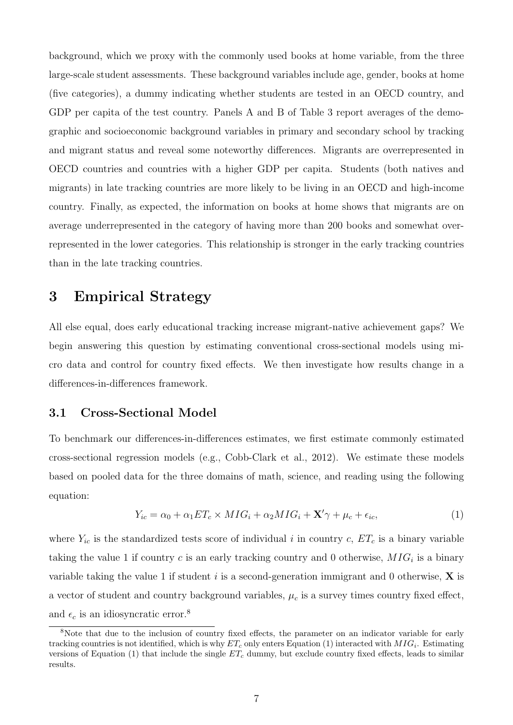background, which we proxy with the commonly used books at home variable, from the three large-scale student assessments. These background variables include age, gender, books at home (five categories), a dummy indicating whether students are tested in an OECD country, and GDP per capita of the test country. Panels A and B of Table 3 report averages of the demographic and socioeconomic background variables in primary and secondary school by tracking and migrant status and reveal some noteworthy differences. Migrants are overrepresented in OECD countries and countries with a higher GDP per capita. Students (both natives and migrants) in late tracking countries are more likely to be living in an OECD and high-income country. Finally, as expected, the information on books at home shows that migrants are on average underrepresented in the category of having more than 200 books and somewhat overrepresented in the lower categories. This relationship is stronger in the early tracking countries than in the late tracking countries.

## 3 Empirical Strategy

All else equal, does early educational tracking increase migrant-native achievement gaps? We begin answering this question by estimating conventional cross-sectional models using micro data and control for country fixed effects. We then investigate how results change in a differences-in-differences framework.

### 3.1 Cross-Sectional Model

To benchmark our differences-in-differences estimates, we first estimate commonly estimated cross-sectional regression models (e.g., Cobb-Clark et al., 2012). We estimate these models based on pooled data for the three domains of math, science, and reading using the following equation:

$$
Y_{ic} = \alpha_0 + \alpha_1 ET_c \times MIG_i + \alpha_2 MIG_i + \mathbf{X'}\gamma + \mu_c + \epsilon_{ic},\tag{1}
$$

where  $Y_{ic}$  is the standardized tests score of individual i in country c,  $ET_c$  is a binary variable taking the value 1 if country c is an early tracking country and 0 otherwise,  $MIG_i$  is a binary variable taking the value 1 if student i is a second-generation immigrant and 0 otherwise,  $X$  is a vector of student and country background variables,  $\mu_c$  is a survey times country fixed effect, and  $\epsilon_c$  is an idiosyncratic error.<sup>8</sup>

<sup>&</sup>lt;sup>8</sup>Note that due to the inclusion of country fixed effects, the parameter on an indicator variable for early tracking countries is not identified, which is why  $ET_c$  only enters Equation (1) interacted with  $MIG_i$ . Estimating versions of Equation (1) that include the single  $ET_c$  dummy, but exclude country fixed effects, leads to similar results.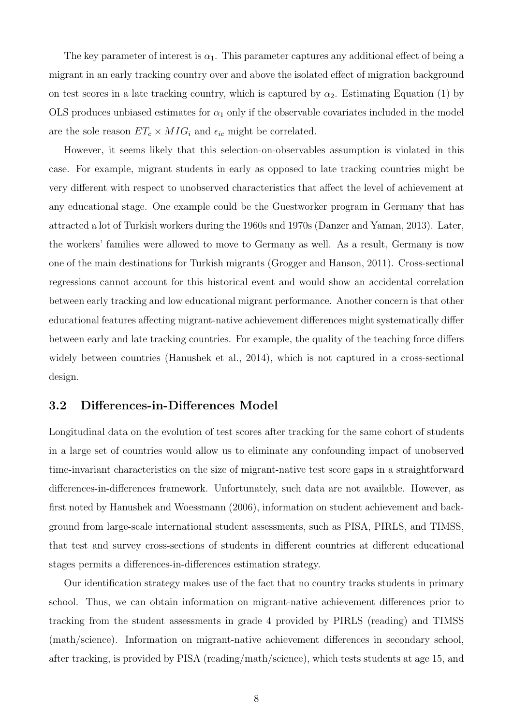The key parameter of interest is  $\alpha_1$ . This parameter captures any additional effect of being a migrant in an early tracking country over and above the isolated effect of migration background on test scores in a late tracking country, which is captured by  $\alpha_2$ . Estimating Equation (1) by OLS produces unbiased estimates for  $\alpha_1$  only if the observable covariates included in the model are the sole reason  $ET_c \times MIG_i$  and  $\epsilon_{ic}$  might be correlated.

However, it seems likely that this selection-on-observables assumption is violated in this case. For example, migrant students in early as opposed to late tracking countries might be very different with respect to unobserved characteristics that affect the level of achievement at any educational stage. One example could be the Guestworker program in Germany that has attracted a lot of Turkish workers during the 1960s and 1970s (Danzer and Yaman, 2013). Later, the workers' families were allowed to move to Germany as well. As a result, Germany is now one of the main destinations for Turkish migrants (Grogger and Hanson, 2011). Cross-sectional regressions cannot account for this historical event and would show an accidental correlation between early tracking and low educational migrant performance. Another concern is that other educational features affecting migrant-native achievement differences might systematically differ between early and late tracking countries. For example, the quality of the teaching force differs widely between countries (Hanushek et al., 2014), which is not captured in a cross-sectional design.

### 3.2 Differences-in-Differences Model

Longitudinal data on the evolution of test scores after tracking for the same cohort of students in a large set of countries would allow us to eliminate any confounding impact of unobserved time-invariant characteristics on the size of migrant-native test score gaps in a straightforward differences-in-differences framework. Unfortunately, such data are not available. However, as first noted by Hanushek and Woessmann (2006), information on student achievement and background from large-scale international student assessments, such as PISA, PIRLS, and TIMSS, that test and survey cross-sections of students in different countries at different educational stages permits a differences-in-differences estimation strategy.

Our identification strategy makes use of the fact that no country tracks students in primary school. Thus, we can obtain information on migrant-native achievement differences prior to tracking from the student assessments in grade 4 provided by PIRLS (reading) and TIMSS (math/science). Information on migrant-native achievement differences in secondary school, after tracking, is provided by PISA (reading/math/science), which tests students at age 15, and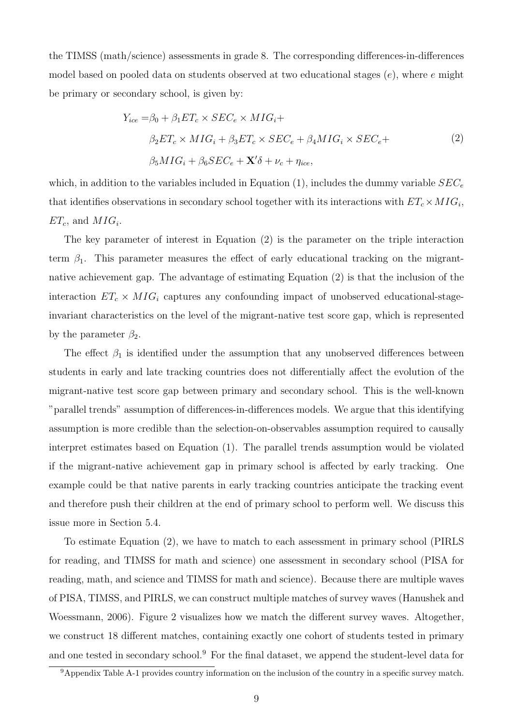the TIMSS (math/science) assessments in grade 8. The corresponding differences-in-differences model based on pooled data on students observed at two educational stages  $(e)$ , where e might be primary or secondary school, is given by:

$$
Y_{ice} = \beta_0 + \beta_1 ET_c \times SEC_e \times MIG_i +
$$
  
\n
$$
\beta_2 ET_c \times MIG_i + \beta_3 ET_c \times SEC_e + \beta_4 MIG_i \times SEC_e +
$$
  
\n
$$
\beta_5 MIG_i + \beta_6 SEC_e + \mathbf{X}' \delta + \nu_c + \eta_{ice},
$$
\n(2)

which, in addition to the variables included in Equation (1), includes the dummy variable  $SEC<sub>e</sub>$ that identifies observations in secondary school together with its interactions with  $ET_c \times MIG_i$ ,  $ET_c$ , and  $MIG_i$ .

The key parameter of interest in Equation (2) is the parameter on the triple interaction term  $\beta_1$ . This parameter measures the effect of early educational tracking on the migrantnative achievement gap. The advantage of estimating Equation (2) is that the inclusion of the interaction  $ET_c \times MIG_i$  captures any confounding impact of unobserved educational-stageinvariant characteristics on the level of the migrant-native test score gap, which is represented by the parameter  $\beta_2$ .

The effect  $\beta_1$  is identified under the assumption that any unobserved differences between students in early and late tracking countries does not differentially affect the evolution of the migrant-native test score gap between primary and secondary school. This is the well-known "parallel trends" assumption of differences-in-differences models. We argue that this identifying assumption is more credible than the selection-on-observables assumption required to causally interpret estimates based on Equation (1). The parallel trends assumption would be violated if the migrant-native achievement gap in primary school is affected by early tracking. One example could be that native parents in early tracking countries anticipate the tracking event and therefore push their children at the end of primary school to perform well. We discuss this issue more in Section 5.4.

To estimate Equation (2), we have to match to each assessment in primary school (PIRLS for reading, and TIMSS for math and science) one assessment in secondary school (PISA for reading, math, and science and TIMSS for math and science). Because there are multiple waves of PISA, TIMSS, and PIRLS, we can construct multiple matches of survey waves (Hanushek and Woessmann, 2006). Figure 2 visualizes how we match the different survey waves. Altogether, we construct 18 different matches, containing exactly one cohort of students tested in primary and one tested in secondary school.<sup>9</sup> For the final dataset, we append the student-level data for

<sup>9</sup>Appendix Table A-1 provides country information on the inclusion of the country in a specific survey match.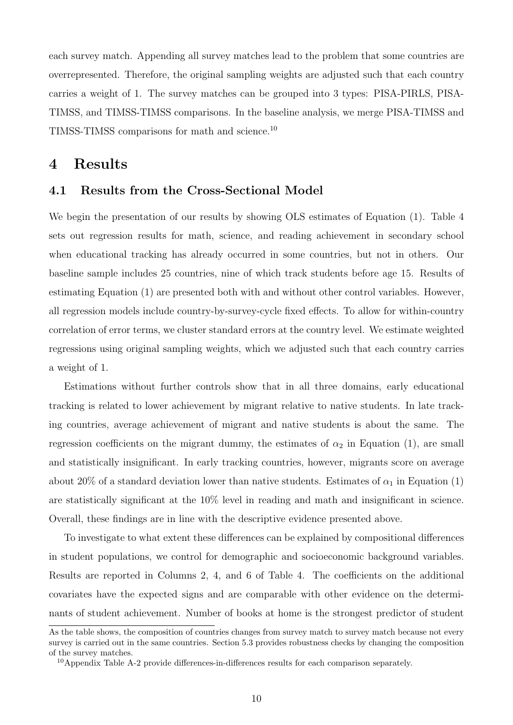each survey match. Appending all survey matches lead to the problem that some countries are overrepresented. Therefore, the original sampling weights are adjusted such that each country carries a weight of 1. The survey matches can be grouped into 3 types: PISA-PIRLS, PISA-TIMSS, and TIMSS-TIMSS comparisons. In the baseline analysis, we merge PISA-TIMSS and TIMSS-TIMSS comparisons for math and science.<sup>10</sup>

### 4 Results

### 4.1 Results from the Cross-Sectional Model

We begin the presentation of our results by showing OLS estimates of Equation (1). Table 4 sets out regression results for math, science, and reading achievement in secondary school when educational tracking has already occurred in some countries, but not in others. Our baseline sample includes 25 countries, nine of which track students before age 15. Results of estimating Equation (1) are presented both with and without other control variables. However, all regression models include country-by-survey-cycle fixed effects. To allow for within-country correlation of error terms, we cluster standard errors at the country level. We estimate weighted regressions using original sampling weights, which we adjusted such that each country carries a weight of 1.

Estimations without further controls show that in all three domains, early educational tracking is related to lower achievement by migrant relative to native students. In late tracking countries, average achievement of migrant and native students is about the same. The regression coefficients on the migrant dummy, the estimates of  $\alpha_2$  in Equation (1), are small and statistically insignificant. In early tracking countries, however, migrants score on average about 20% of a standard deviation lower than native students. Estimates of  $\alpha_1$  in Equation (1) are statistically significant at the 10% level in reading and math and insignificant in science. Overall, these findings are in line with the descriptive evidence presented above.

To investigate to what extent these differences can be explained by compositional differences in student populations, we control for demographic and socioeconomic background variables. Results are reported in Columns 2, 4, and 6 of Table 4. The coefficients on the additional covariates have the expected signs and are comparable with other evidence on the determinants of student achievement. Number of books at home is the strongest predictor of student

As the table shows, the composition of countries changes from survey match to survey match because not every survey is carried out in the same countries. Section 5.3 provides robustness checks by changing the composition of the survey matches.

<sup>&</sup>lt;sup>10</sup>Appendix Table A-2 provide differences-in-differences results for each comparison separately.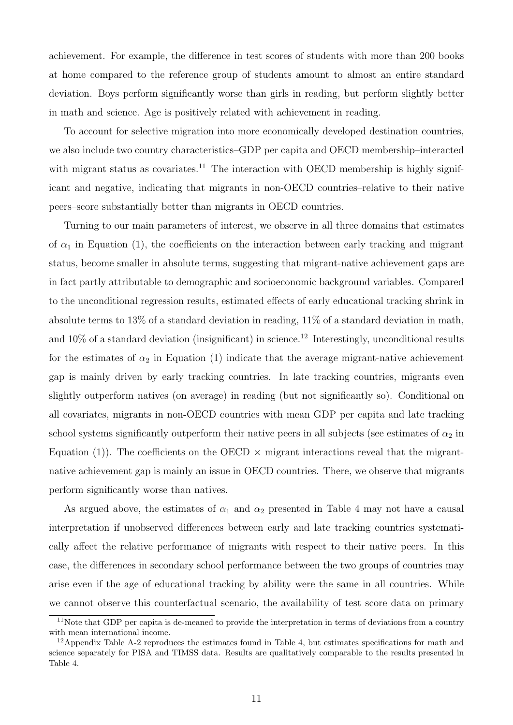achievement. For example, the difference in test scores of students with more than 200 books at home compared to the reference group of students amount to almost an entire standard deviation. Boys perform significantly worse than girls in reading, but perform slightly better in math and science. Age is positively related with achievement in reading.

To account for selective migration into more economically developed destination countries, we also include two country characteristics–GDP per capita and OECD membership–interacted with migrant status as covariates.<sup>11</sup> The interaction with OECD membership is highly significant and negative, indicating that migrants in non-OECD countries–relative to their native peers–score substantially better than migrants in OECD countries.

Turning to our main parameters of interest, we observe in all three domains that estimates of  $\alpha_1$  in Equation (1), the coefficients on the interaction between early tracking and migrant status, become smaller in absolute terms, suggesting that migrant-native achievement gaps are in fact partly attributable to demographic and socioeconomic background variables. Compared to the unconditional regression results, estimated effects of early educational tracking shrink in absolute terms to 13% of a standard deviation in reading, 11% of a standard deviation in math, and  $10\%$  of a standard deviation (insignificant) in science.<sup>12</sup> Interestingly, unconditional results for the estimates of  $\alpha_2$  in Equation (1) indicate that the average migrant-native achievement gap is mainly driven by early tracking countries. In late tracking countries, migrants even slightly outperform natives (on average) in reading (but not significantly so). Conditional on all covariates, migrants in non-OECD countries with mean GDP per capita and late tracking school systems significantly outperform their native peers in all subjects (see estimates of  $\alpha_2$  in Equation (1)). The coefficients on the OECD  $\times$  migrant interactions reveal that the migrantnative achievement gap is mainly an issue in OECD countries. There, we observe that migrants perform significantly worse than natives.

As argued above, the estimates of  $\alpha_1$  and  $\alpha_2$  presented in Table 4 may not have a causal interpretation if unobserved differences between early and late tracking countries systematically affect the relative performance of migrants with respect to their native peers. In this case, the differences in secondary school performance between the two groups of countries may arise even if the age of educational tracking by ability were the same in all countries. While we cannot observe this counterfactual scenario, the availability of test score data on primary

 $11$ Note that GDP per capita is de-meaned to provide the interpretation in terms of deviations from a country with mean international income.

 $12$ Appendix Table A-2 reproduces the estimates found in Table 4, but estimates specifications for math and science separately for PISA and TIMSS data. Results are qualitatively comparable to the results presented in Table 4.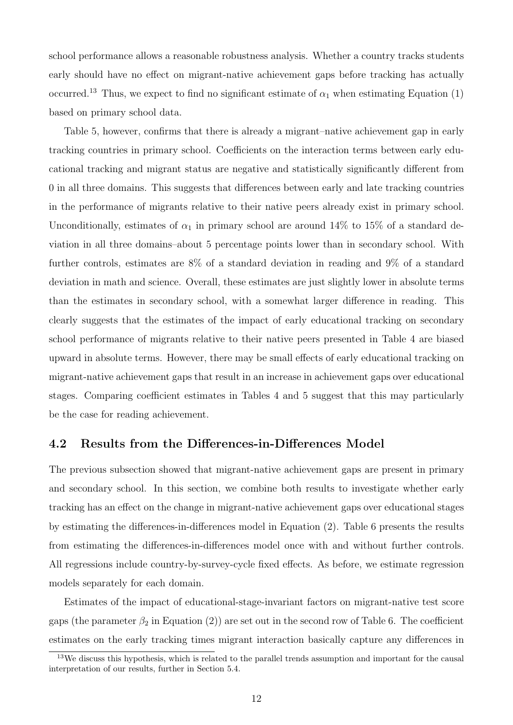school performance allows a reasonable robustness analysis. Whether a country tracks students early should have no effect on migrant-native achievement gaps before tracking has actually occurred.<sup>13</sup> Thus, we expect to find no significant estimate of  $\alpha_1$  when estimating Equation (1) based on primary school data.

Table 5, however, confirms that there is already a migrant–native achievement gap in early tracking countries in primary school. Coefficients on the interaction terms between early educational tracking and migrant status are negative and statistically significantly different from 0 in all three domains. This suggests that differences between early and late tracking countries in the performance of migrants relative to their native peers already exist in primary school. Unconditionally, estimates of  $\alpha_1$  in primary school are around 14% to 15% of a standard deviation in all three domains–about 5 percentage points lower than in secondary school. With further controls, estimates are 8% of a standard deviation in reading and 9% of a standard deviation in math and science. Overall, these estimates are just slightly lower in absolute terms than the estimates in secondary school, with a somewhat larger difference in reading. This clearly suggests that the estimates of the impact of early educational tracking on secondary school performance of migrants relative to their native peers presented in Table 4 are biased upward in absolute terms. However, there may be small effects of early educational tracking on migrant-native achievement gaps that result in an increase in achievement gaps over educational stages. Comparing coefficient estimates in Tables 4 and 5 suggest that this may particularly be the case for reading achievement.

### 4.2 Results from the Differences-in-Differences Model

The previous subsection showed that migrant-native achievement gaps are present in primary and secondary school. In this section, we combine both results to investigate whether early tracking has an effect on the change in migrant-native achievement gaps over educational stages by estimating the differences-in-differences model in Equation (2). Table 6 presents the results from estimating the differences-in-differences model once with and without further controls. All regressions include country-by-survey-cycle fixed effects. As before, we estimate regression models separately for each domain.

Estimates of the impact of educational-stage-invariant factors on migrant-native test score gaps (the parameter  $\beta_2$  in Equation (2)) are set out in the second row of Table 6. The coefficient estimates on the early tracking times migrant interaction basically capture any differences in

<sup>&</sup>lt;sup>13</sup>We discuss this hypothesis, which is related to the parallel trends assumption and important for the causal interpretation of our results, further in Section 5.4.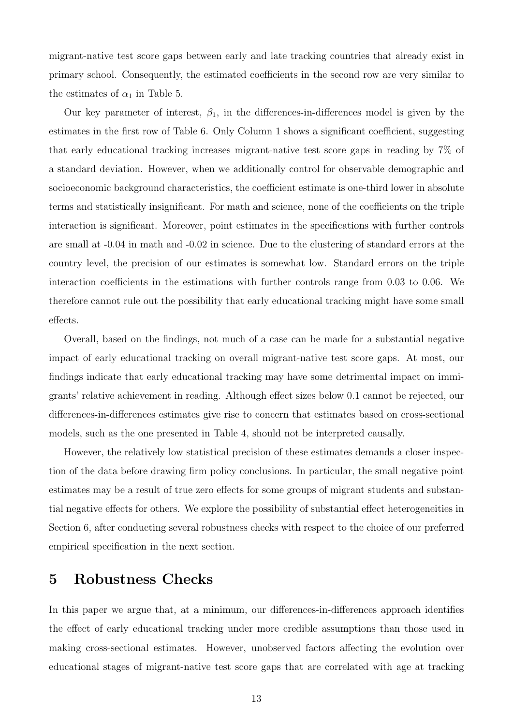migrant-native test score gaps between early and late tracking countries that already exist in primary school. Consequently, the estimated coefficients in the second row are very similar to the estimates of  $\alpha_1$  in Table 5.

Our key parameter of interest,  $\beta_1$ , in the differences-in-differences model is given by the estimates in the first row of Table 6. Only Column 1 shows a significant coefficient, suggesting that early educational tracking increases migrant-native test score gaps in reading by 7% of a standard deviation. However, when we additionally control for observable demographic and socioeconomic background characteristics, the coefficient estimate is one-third lower in absolute terms and statistically insignificant. For math and science, none of the coefficients on the triple interaction is significant. Moreover, point estimates in the specifications with further controls are small at -0.04 in math and -0.02 in science. Due to the clustering of standard errors at the country level, the precision of our estimates is somewhat low. Standard errors on the triple interaction coefficients in the estimations with further controls range from 0.03 to 0.06. We therefore cannot rule out the possibility that early educational tracking might have some small effects.

Overall, based on the findings, not much of a case can be made for a substantial negative impact of early educational tracking on overall migrant-native test score gaps. At most, our findings indicate that early educational tracking may have some detrimental impact on immigrants' relative achievement in reading. Although effect sizes below 0.1 cannot be rejected, our differences-in-differences estimates give rise to concern that estimates based on cross-sectional models, such as the one presented in Table 4, should not be interpreted causally.

However, the relatively low statistical precision of these estimates demands a closer inspection of the data before drawing firm policy conclusions. In particular, the small negative point estimates may be a result of true zero effects for some groups of migrant students and substantial negative effects for others. We explore the possibility of substantial effect heterogeneities in Section 6, after conducting several robustness checks with respect to the choice of our preferred empirical specification in the next section.

## 5 Robustness Checks

In this paper we argue that, at a minimum, our differences-in-differences approach identifies the effect of early educational tracking under more credible assumptions than those used in making cross-sectional estimates. However, unobserved factors affecting the evolution over educational stages of migrant-native test score gaps that are correlated with age at tracking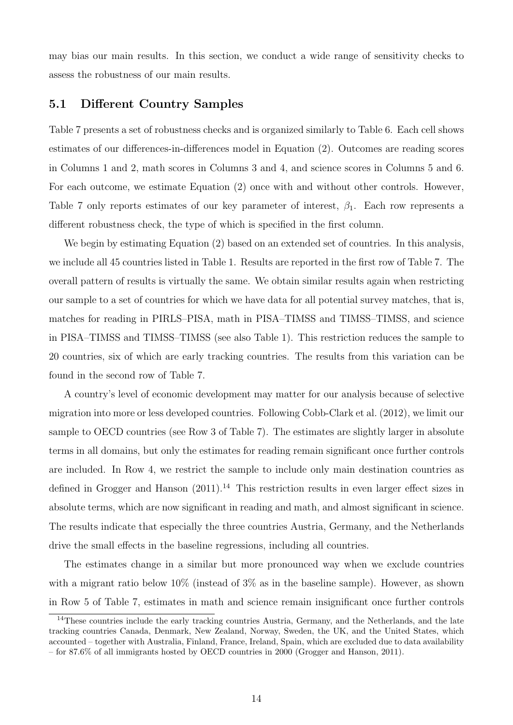may bias our main results. In this section, we conduct a wide range of sensitivity checks to assess the robustness of our main results.

#### 5.1 Different Country Samples

Table 7 presents a set of robustness checks and is organized similarly to Table 6. Each cell shows estimates of our differences-in-differences model in Equation (2). Outcomes are reading scores in Columns 1 and 2, math scores in Columns 3 and 4, and science scores in Columns 5 and 6. For each outcome, we estimate Equation (2) once with and without other controls. However, Table 7 only reports estimates of our key parameter of interest,  $\beta_1$ . Each row represents a different robustness check, the type of which is specified in the first column.

We begin by estimating Equation (2) based on an extended set of countries. In this analysis, we include all 45 countries listed in Table 1. Results are reported in the first row of Table 7. The overall pattern of results is virtually the same. We obtain similar results again when restricting our sample to a set of countries for which we have data for all potential survey matches, that is, matches for reading in PIRLS–PISA, math in PISA–TIMSS and TIMSS–TIMSS, and science in PISA–TIMSS and TIMSS–TIMSS (see also Table 1). This restriction reduces the sample to 20 countries, six of which are early tracking countries. The results from this variation can be found in the second row of Table 7.

A country's level of economic development may matter for our analysis because of selective migration into more or less developed countries. Following Cobb-Clark et al. (2012), we limit our sample to OECD countries (see Row 3 of Table 7). The estimates are slightly larger in absolute terms in all domains, but only the estimates for reading remain significant once further controls are included. In Row 4, we restrict the sample to include only main destination countries as defined in Grogger and Hanson  $(2011).<sup>14</sup>$  This restriction results in even larger effect sizes in absolute terms, which are now significant in reading and math, and almost significant in science. The results indicate that especially the three countries Austria, Germany, and the Netherlands drive the small effects in the baseline regressions, including all countries.

The estimates change in a similar but more pronounced way when we exclude countries with a migrant ratio below  $10\%$  (instead of  $3\%$  as in the baseline sample). However, as shown in Row 5 of Table 7, estimates in math and science remain insignificant once further controls

<sup>&</sup>lt;sup>14</sup>These countries include the early tracking countries Austria, Germany, and the Netherlands, and the late tracking countries Canada, Denmark, New Zealand, Norway, Sweden, the UK, and the United States, which accounted – together with Australia, Finland, France, Ireland, Spain, which are excluded due to data availability – for 87.6% of all immigrants hosted by OECD countries in 2000 (Grogger and Hanson, 2011).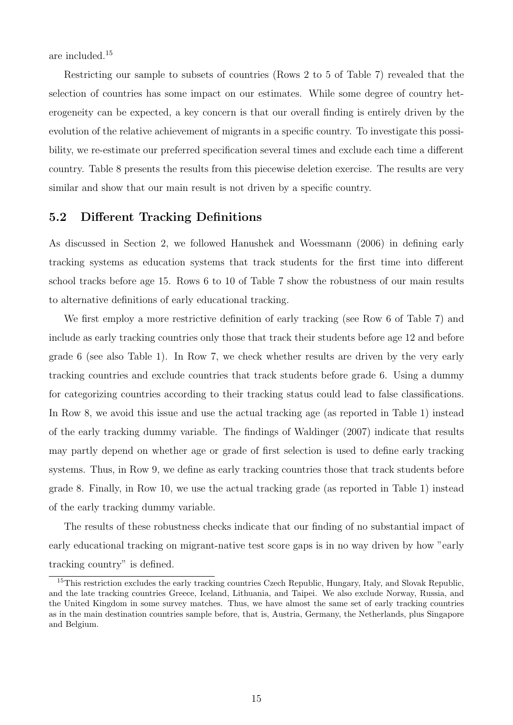are included.<sup>15</sup>

Restricting our sample to subsets of countries (Rows 2 to 5 of Table 7) revealed that the selection of countries has some impact on our estimates. While some degree of country heterogeneity can be expected, a key concern is that our overall finding is entirely driven by the evolution of the relative achievement of migrants in a specific country. To investigate this possibility, we re-estimate our preferred specification several times and exclude each time a different country. Table 8 presents the results from this piecewise deletion exercise. The results are very similar and show that our main result is not driven by a specific country.

### 5.2 Different Tracking Definitions

As discussed in Section 2, we followed Hanushek and Woessmann (2006) in defining early tracking systems as education systems that track students for the first time into different school tracks before age 15. Rows 6 to 10 of Table 7 show the robustness of our main results to alternative definitions of early educational tracking.

We first employ a more restrictive definition of early tracking (see Row 6 of Table 7) and include as early tracking countries only those that track their students before age 12 and before grade 6 (see also Table 1). In Row 7, we check whether results are driven by the very early tracking countries and exclude countries that track students before grade 6. Using a dummy for categorizing countries according to their tracking status could lead to false classifications. In Row 8, we avoid this issue and use the actual tracking age (as reported in Table 1) instead of the early tracking dummy variable. The findings of Waldinger (2007) indicate that results may partly depend on whether age or grade of first selection is used to define early tracking systems. Thus, in Row 9, we define as early tracking countries those that track students before grade 8. Finally, in Row 10, we use the actual tracking grade (as reported in Table 1) instead of the early tracking dummy variable.

The results of these robustness checks indicate that our finding of no substantial impact of early educational tracking on migrant-native test score gaps is in no way driven by how "early tracking country" is defined.

<sup>&</sup>lt;sup>15</sup>This restriction excludes the early tracking countries Czech Republic, Hungary, Italy, and Slovak Republic, and the late tracking countries Greece, Iceland, Lithuania, and Taipei. We also exclude Norway, Russia, and the United Kingdom in some survey matches. Thus, we have almost the same set of early tracking countries as in the main destination countries sample before, that is, Austria, Germany, the Netherlands, plus Singapore and Belgium.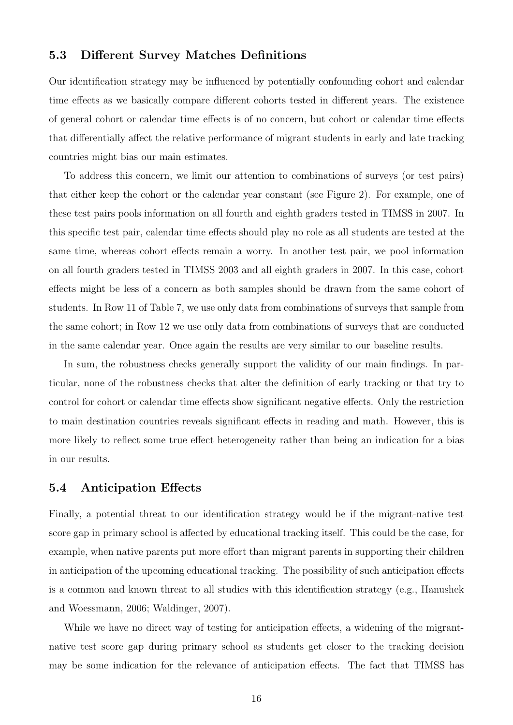### 5.3 Different Survey Matches Definitions

Our identification strategy may be influenced by potentially confounding cohort and calendar time effects as we basically compare different cohorts tested in different years. The existence of general cohort or calendar time effects is of no concern, but cohort or calendar time effects that differentially affect the relative performance of migrant students in early and late tracking countries might bias our main estimates.

To address this concern, we limit our attention to combinations of surveys (or test pairs) that either keep the cohort or the calendar year constant (see Figure 2). For example, one of these test pairs pools information on all fourth and eighth graders tested in TIMSS in 2007. In this specific test pair, calendar time effects should play no role as all students are tested at the same time, whereas cohort effects remain a worry. In another test pair, we pool information on all fourth graders tested in TIMSS 2003 and all eighth graders in 2007. In this case, cohort effects might be less of a concern as both samples should be drawn from the same cohort of students. In Row 11 of Table 7, we use only data from combinations of surveys that sample from the same cohort; in Row 12 we use only data from combinations of surveys that are conducted in the same calendar year. Once again the results are very similar to our baseline results.

In sum, the robustness checks generally support the validity of our main findings. In particular, none of the robustness checks that alter the definition of early tracking or that try to control for cohort or calendar time effects show significant negative effects. Only the restriction to main destination countries reveals significant effects in reading and math. However, this is more likely to reflect some true effect heterogeneity rather than being an indication for a bias in our results.

#### 5.4 Anticipation Effects

Finally, a potential threat to our identification strategy would be if the migrant-native test score gap in primary school is affected by educational tracking itself. This could be the case, for example, when native parents put more effort than migrant parents in supporting their children in anticipation of the upcoming educational tracking. The possibility of such anticipation effects is a common and known threat to all studies with this identification strategy (e.g., Hanushek and Woessmann, 2006; Waldinger, 2007).

While we have no direct way of testing for anticipation effects, a widening of the migrantnative test score gap during primary school as students get closer to the tracking decision may be some indication for the relevance of anticipation effects. The fact that TIMSS has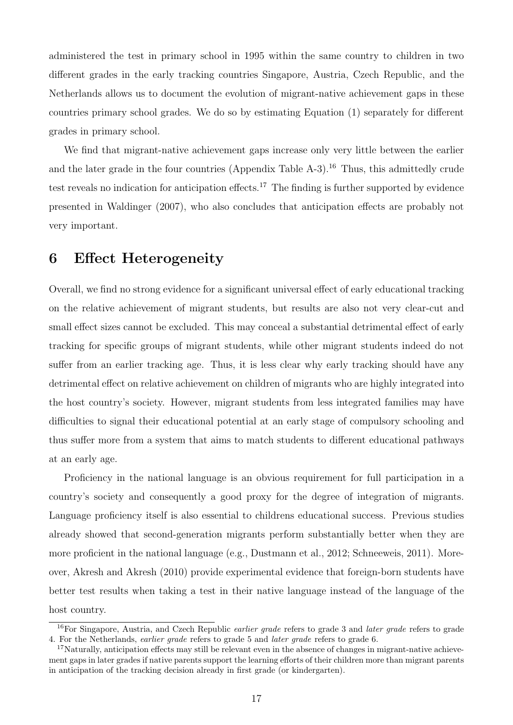administered the test in primary school in 1995 within the same country to children in two different grades in the early tracking countries Singapore, Austria, Czech Republic, and the Netherlands allows us to document the evolution of migrant-native achievement gaps in these countries primary school grades. We do so by estimating Equation (1) separately for different grades in primary school.

We find that migrant-native achievement gaps increase only very little between the earlier and the later grade in the four countries (Appendix Table  $A-3$ ).<sup>16</sup> Thus, this admittedly crude test reveals no indication for anticipation effects.<sup>17</sup> The finding is further supported by evidence presented in Waldinger (2007), who also concludes that anticipation effects are probably not very important.

## 6 Effect Heterogeneity

Overall, we find no strong evidence for a significant universal effect of early educational tracking on the relative achievement of migrant students, but results are also not very clear-cut and small effect sizes cannot be excluded. This may conceal a substantial detrimental effect of early tracking for specific groups of migrant students, while other migrant students indeed do not suffer from an earlier tracking age. Thus, it is less clear why early tracking should have any detrimental effect on relative achievement on children of migrants who are highly integrated into the host country's society. However, migrant students from less integrated families may have difficulties to signal their educational potential at an early stage of compulsory schooling and thus suffer more from a system that aims to match students to different educational pathways at an early age.

Proficiency in the national language is an obvious requirement for full participation in a country's society and consequently a good proxy for the degree of integration of migrants. Language proficiency itself is also essential to childrens educational success. Previous studies already showed that second-generation migrants perform substantially better when they are more proficient in the national language (e.g., Dustmann et al., 2012; Schneeweis, 2011). Moreover, Akresh and Akresh (2010) provide experimental evidence that foreign-born students have better test results when taking a test in their native language instead of the language of the host country.

<sup>&</sup>lt;sup>16</sup>For Singapore, Austria, and Czech Republic *earlier grade* refers to grade 3 and *later grade* refers to grade 4. For the Netherlands, earlier grade refers to grade 5 and later grade refers to grade 6.

<sup>&</sup>lt;sup>17</sup>Naturally, anticipation effects may still be relevant even in the absence of changes in migrant-native achievement gaps in later grades if native parents support the learning efforts of their children more than migrant parents in anticipation of the tracking decision already in first grade (or kindergarten).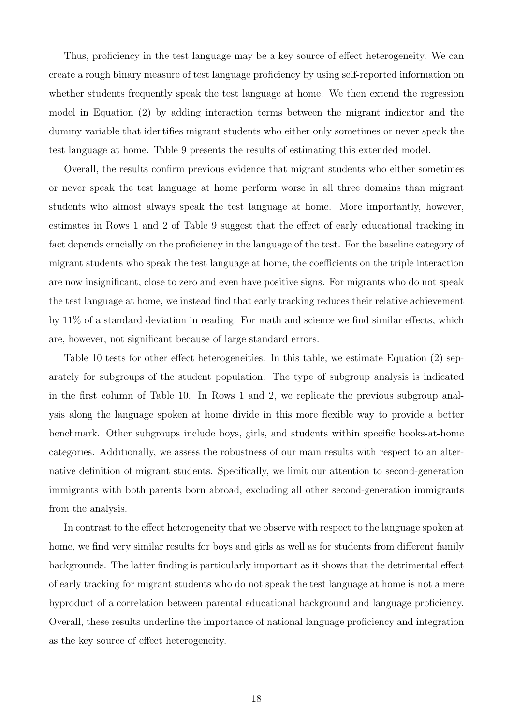Thus, proficiency in the test language may be a key source of effect heterogeneity. We can create a rough binary measure of test language proficiency by using self-reported information on whether students frequently speak the test language at home. We then extend the regression model in Equation (2) by adding interaction terms between the migrant indicator and the dummy variable that identifies migrant students who either only sometimes or never speak the test language at home. Table 9 presents the results of estimating this extended model.

Overall, the results confirm previous evidence that migrant students who either sometimes or never speak the test language at home perform worse in all three domains than migrant students who almost always speak the test language at home. More importantly, however, estimates in Rows 1 and 2 of Table 9 suggest that the effect of early educational tracking in fact depends crucially on the proficiency in the language of the test. For the baseline category of migrant students who speak the test language at home, the coefficients on the triple interaction are now insignificant, close to zero and even have positive signs. For migrants who do not speak the test language at home, we instead find that early tracking reduces their relative achievement by 11% of a standard deviation in reading. For math and science we find similar effects, which are, however, not significant because of large standard errors.

Table 10 tests for other effect heterogeneities. In this table, we estimate Equation (2) separately for subgroups of the student population. The type of subgroup analysis is indicated in the first column of Table 10. In Rows 1 and 2, we replicate the previous subgroup analysis along the language spoken at home divide in this more flexible way to provide a better benchmark. Other subgroups include boys, girls, and students within specific books-at-home categories. Additionally, we assess the robustness of our main results with respect to an alternative definition of migrant students. Specifically, we limit our attention to second-generation immigrants with both parents born abroad, excluding all other second-generation immigrants from the analysis.

In contrast to the effect heterogeneity that we observe with respect to the language spoken at home, we find very similar results for boys and girls as well as for students from different family backgrounds. The latter finding is particularly important as it shows that the detrimental effect of early tracking for migrant students who do not speak the test language at home is not a mere byproduct of a correlation between parental educational background and language proficiency. Overall, these results underline the importance of national language proficiency and integration as the key source of effect heterogeneity.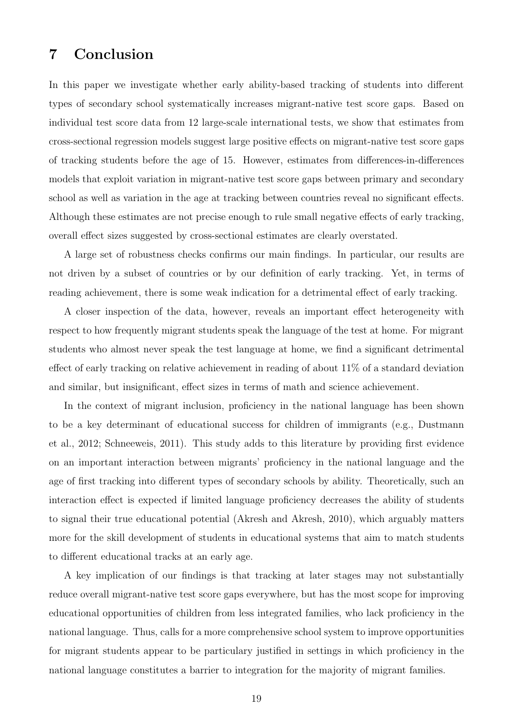## 7 Conclusion

In this paper we investigate whether early ability-based tracking of students into different types of secondary school systematically increases migrant-native test score gaps. Based on individual test score data from 12 large-scale international tests, we show that estimates from cross-sectional regression models suggest large positive effects on migrant-native test score gaps of tracking students before the age of 15. However, estimates from differences-in-differences models that exploit variation in migrant-native test score gaps between primary and secondary school as well as variation in the age at tracking between countries reveal no significant effects. Although these estimates are not precise enough to rule small negative effects of early tracking, overall effect sizes suggested by cross-sectional estimates are clearly overstated.

A large set of robustness checks confirms our main findings. In particular, our results are not driven by a subset of countries or by our definition of early tracking. Yet, in terms of reading achievement, there is some weak indication for a detrimental effect of early tracking.

A closer inspection of the data, however, reveals an important effect heterogeneity with respect to how frequently migrant students speak the language of the test at home. For migrant students who almost never speak the test language at home, we find a significant detrimental effect of early tracking on relative achievement in reading of about 11% of a standard deviation and similar, but insignificant, effect sizes in terms of math and science achievement.

In the context of migrant inclusion, proficiency in the national language has been shown to be a key determinant of educational success for children of immigrants (e.g., Dustmann et al., 2012; Schneeweis, 2011). This study adds to this literature by providing first evidence on an important interaction between migrants' proficiency in the national language and the age of first tracking into different types of secondary schools by ability. Theoretically, such an interaction effect is expected if limited language proficiency decreases the ability of students to signal their true educational potential (Akresh and Akresh, 2010), which arguably matters more for the skill development of students in educational systems that aim to match students to different educational tracks at an early age.

A key implication of our findings is that tracking at later stages may not substantially reduce overall migrant-native test score gaps everywhere, but has the most scope for improving educational opportunities of children from less integrated families, who lack proficiency in the national language. Thus, calls for a more comprehensive school system to improve opportunities for migrant students appear to be particulary justified in settings in which proficiency in the national language constitutes a barrier to integration for the majority of migrant families.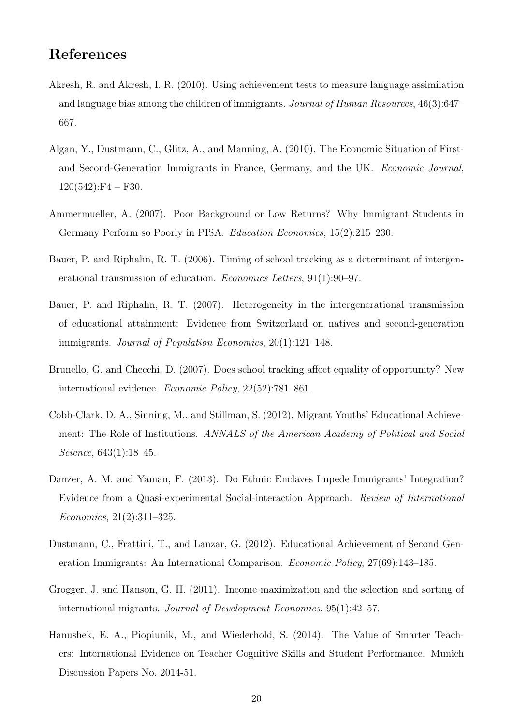## References

- Akresh, R. and Akresh, I. R. (2010). Using achievement tests to measure language assimilation and language bias among the children of immigrants. Journal of Human Resources, 46(3):647– 667.
- Algan, Y., Dustmann, C., Glitz, A., and Manning, A. (2010). The Economic Situation of Firstand Second-Generation Immigrants in France, Germany, and the UK. Economic Journal,  $120(542):F4 - F30.$
- Ammermueller, A. (2007). Poor Background or Low Returns? Why Immigrant Students in Germany Perform so Poorly in PISA. Education Economics, 15(2):215–230.
- Bauer, P. and Riphahn, R. T. (2006). Timing of school tracking as a determinant of intergenerational transmission of education. Economics Letters, 91(1):90–97.
- Bauer, P. and Riphahn, R. T. (2007). Heterogeneity in the intergenerational transmission of educational attainment: Evidence from Switzerland on natives and second-generation immigrants. Journal of Population Economics, 20(1):121–148.
- Brunello, G. and Checchi, D. (2007). Does school tracking affect equality of opportunity? New international evidence. Economic Policy, 22(52):781–861.
- Cobb-Clark, D. A., Sinning, M., and Stillman, S. (2012). Migrant Youths' Educational Achievement: The Role of Institutions. ANNALS of the American Academy of Political and Social Science, 643(1):18–45.
- Danzer, A. M. and Yaman, F. (2013). Do Ethnic Enclaves Impede Immigrants' Integration? Evidence from a Quasi-experimental Social-interaction Approach. Review of International Economics, 21(2):311–325.
- Dustmann, C., Frattini, T., and Lanzar, G. (2012). Educational Achievement of Second Generation Immigrants: An International Comparison. Economic Policy, 27(69):143–185.
- Grogger, J. and Hanson, G. H. (2011). Income maximization and the selection and sorting of international migrants. Journal of Development Economics, 95(1):42–57.
- Hanushek, E. A., Piopiunik, M., and Wiederhold, S. (2014). The Value of Smarter Teachers: International Evidence on Teacher Cognitive Skills and Student Performance. Munich Discussion Papers No. 2014-51.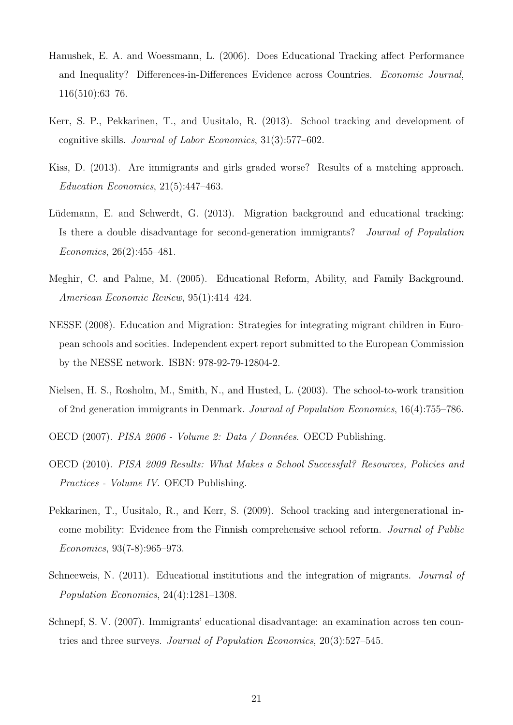- Hanushek, E. A. and Woessmann, L. (2006). Does Educational Tracking affect Performance and Inequality? Differences-in-Differences Evidence across Countries. Economic Journal, 116(510):63–76.
- Kerr, S. P., Pekkarinen, T., and Uusitalo, R. (2013). School tracking and development of cognitive skills. Journal of Labor Economics, 31(3):577–602.
- Kiss, D. (2013). Are immigrants and girls graded worse? Results of a matching approach. Education Economics, 21(5):447–463.
- Lüdemann, E. and Schwerdt, G. (2013). Migration background and educational tracking: Is there a double disadvantage for second-generation immigrants? Journal of Population Economics, 26(2):455–481.
- Meghir, C. and Palme, M. (2005). Educational Reform, Ability, and Family Background. American Economic Review, 95(1):414–424.
- NESSE (2008). Education and Migration: Strategies for integrating migrant children in European schools and socities. Independent expert report submitted to the European Commission by the NESSE network. ISBN: 978-92-79-12804-2.
- Nielsen, H. S., Rosholm, M., Smith, N., and Husted, L. (2003). The school-to-work transition of 2nd generation immigrants in Denmark. Journal of Population Economics, 16(4):755–786.
- OECD (2007). PISA 2006 Volume 2: Data / Données. OECD Publishing.
- OECD (2010). PISA 2009 Results: What Makes a School Successful? Resources, Policies and Practices - Volume IV. OECD Publishing.
- Pekkarinen, T., Uusitalo, R., and Kerr, S. (2009). School tracking and intergenerational income mobility: Evidence from the Finnish comprehensive school reform. Journal of Public Economics, 93(7-8):965–973.
- Schneeweis, N. (2011). Educational institutions and the integration of migrants. Journal of Population Economics, 24(4):1281–1308.
- Schnepf, S. V. (2007). Immigrants' educational disadvantage: an examination across ten countries and three surveys. Journal of Population Economics, 20(3):527–545.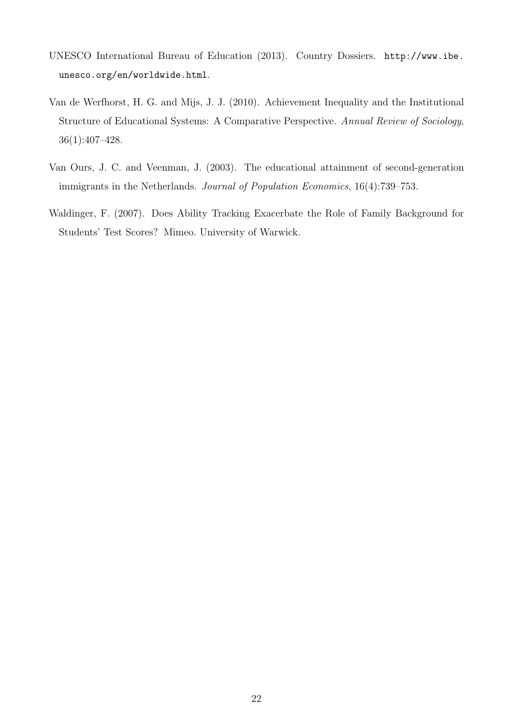- UNESCO International Bureau of Education (2013). Country Dossiers. http://www.ibe. unesco.org/en/worldwide.html.
- Van de Werfhorst, H. G. and Mijs, J. J. (2010). Achievement Inequality and the Institutional Structure of Educational Systems: A Comparative Perspective. Annual Review of Sociology, 36(1):407–428.
- Van Ours, J. C. and Veenman, J. (2003). The educational attainment of second-generation immigrants in the Netherlands. Journal of Population Economics, 16(4):739–753.
- Waldinger, F. (2007). Does Ability Tracking Exacerbate the Role of Family Background for Students' Test Scores? Mimeo. University of Warwick.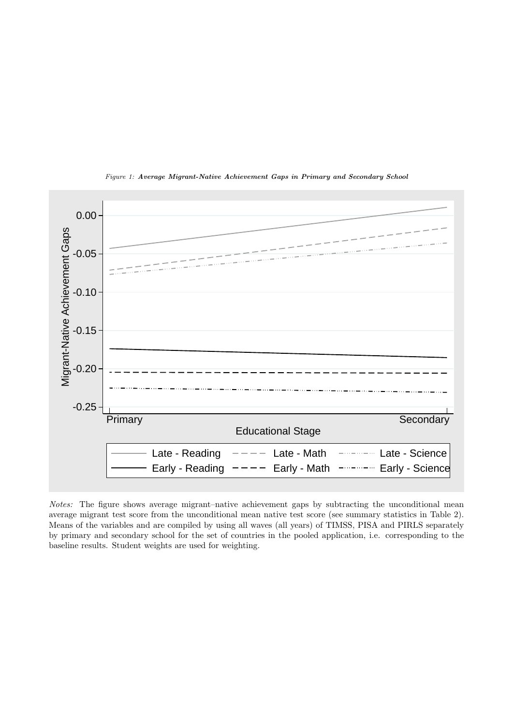

Figure 1: Average Migrant-Native Achievement Gaps in Primary and Secondary School

Notes: The figure shows average migrant–native achievement gaps by subtracting the unconditional mean average migrant test score from the unconditional mean native test score (see summary statistics in Table 2). Means of the variables and are compiled by using all waves (all years) of TIMSS, PISA and PIRLS separately by primary and secondary school for the set of countries in the pooled application, i.e. corresponding to the baseline results. Student weights are used for weighting.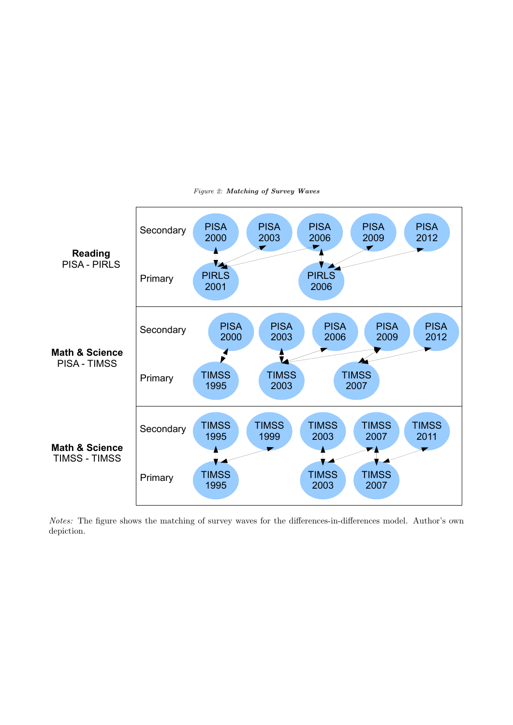

Figure 2: Matching of Survey Waves

Notes: The figure shows the matching of survey waves for the differences-in-differences model. Author's own depiction.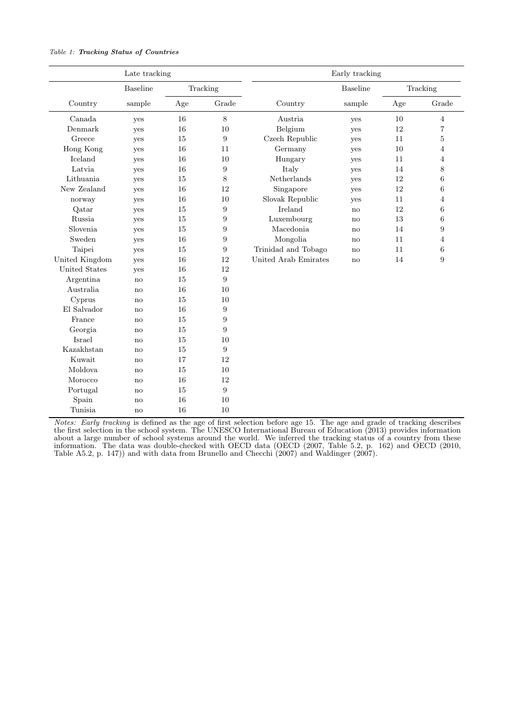#### Table 1: Tracking Status of Countries

| Late tracking  |                 |     |                  |                      | Early tracking  |     |                |
|----------------|-----------------|-----|------------------|----------------------|-----------------|-----|----------------|
|                | <b>Baseline</b> |     | Tracking         |                      | <b>Baseline</b> |     | Tracking       |
| Country        | sample          | Age | Grade            | Country              | sample          | Age | Grade          |
| Canada         | yes             | 16  | $8\,$            | Austria              | yes             | 10  | $\overline{4}$ |
| Denmark        | yes             | 16  | 10               | Belgium              | yes             | 12  | $\overline{7}$ |
| Greece         | yes             | 15  | $\boldsymbol{9}$ | Czech Republic       | yes             | 11  | $\overline{5}$ |
| Hong Kong      | yes             | 16  | 11               | Germany              | yes             | 10  | 4              |
| Iceland        | yes             | 16  | 10               | Hungary              | yes             | 11  | $\overline{4}$ |
| Latvia         | yes             | 16  | $\boldsymbol{9}$ | Italy                | yes             | 14  | 8              |
| Lithuania      | yes             | 15  | 8                | Netherlands          | yes             | 12  | 6              |
| New Zealand    | yes             | 16  | 12               | Singapore            | yes             | 12  | 6              |
| norway         | yes             | 16  | 10               | Slovak Republic      | yes             | 11  | $\overline{4}$ |
| Qatar          | yes             | 15  | 9                | Ireland              | $\mathbf{no}$   | 12  | 6              |
| Russia         | yes             | 15  | 9                | Luxembourg           | no              | 13  | 6              |
| Slovenia       | yes             | 15  | 9                | Macedonia            | no              | 14  | 9              |
| Sweden         | yes             | 16  | 9                | Mongolia             | no              | 11  | $\overline{4}$ |
| Taipei         | yes             | 15  | 9                | Trinidad and Tobago  | $\mathbf{no}$   | 11  | 6              |
| United Kingdom | yes             | 16  | 12               | United Arab Emirates | no              | 14  | 9              |
| United States  | yes             | 16  | 12               |                      |                 |     |                |
| Argentina      | no              | 15  | $\boldsymbol{9}$ |                      |                 |     |                |
| Australia      | no              | 16  | 10               |                      |                 |     |                |
| Cyprus         | no              | 15  | 10               |                      |                 |     |                |
| El Salvador    | no              | 16  | $\boldsymbol{9}$ |                      |                 |     |                |
| France         | no              | 15  | 9                |                      |                 |     |                |
| Georgia        | no              | 15  | $\boldsymbol{9}$ |                      |                 |     |                |
| Israel         | no              | 15  | 10               |                      |                 |     |                |
| Kazakhstan     | $\mathbf{n}$    | 15  | 9                |                      |                 |     |                |
| Kuwait         | no              | 17  | 12               |                      |                 |     |                |
| Moldova        | no              | 15  | 10               |                      |                 |     |                |
| Morocco        | no              | 16  | 12               |                      |                 |     |                |
| Portugal       | no              | 15  | 9                |                      |                 |     |                |
| Spain          | no              | 16  | 10               |                      |                 |     |                |
| Tunisia        | no              | 16  | 10               |                      |                 |     |                |

Notes: Early tracking is defined as the age of first selection before age 15. The age and grade of tracking describes the first selection in the school system. The UNESCO International Bureau of Education (2013) provides information about a large number of school systems around the world. We inferred the tracking status of a country from these information. The data was double-checked with OECD data (OECD (2007, Table 5.2, p. 162) and OECD (2010, Table A5.2, p. 147)) and with data from Brunello and Checchi (2007) and Waldinger (2007).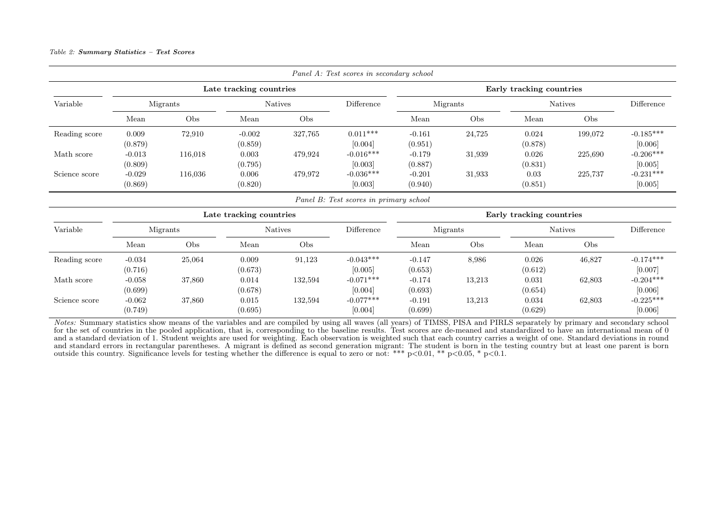#### Table 2: Summary Statistics – Test Scores

|               |                     |          |                         |                | Panel A: Test scores in secondary school |                          |          |                          |                |                        |  |
|---------------|---------------------|----------|-------------------------|----------------|------------------------------------------|--------------------------|----------|--------------------------|----------------|------------------------|--|
|               |                     |          | Late tracking countries |                |                                          | Early tracking countries |          |                          |                |                        |  |
| Variable      |                     | Migrants |                         | <b>Natives</b> | Difference                               |                          | Migrants | <b>Natives</b>           | Difference     |                        |  |
|               | Mean                | Obs      | Mean                    | Obs            |                                          | Mean                     | Obs      | Mean                     | Obs            |                        |  |
| Reading score | 0.009<br>(0.879)    | 72,910   | $-0.002$<br>(0.859)     | 327,765        | $0.011***$<br>[0.004]                    | $-0.161$<br>(0.951)      | 24,725   | 0.024<br>(0.878)         | 199,072        | $-0.185***$<br>[0.006] |  |
| Math score    | $-0.013$<br>(0.809) | 116,018  | 0.003<br>(0.795)        | 479,924        | $-0.016***$<br>[0.003]                   | $-0.179$<br>(0.887)      | 31,939   | 0.026<br>(0.831)         | 225,690        | $-0.206***$<br>[0.005] |  |
| Science score | $-0.029$<br>(0.869) | 116,036  | 0.006<br>(0.820)        | 479,972        | $-0.036***$<br>[0.003]                   | $-0.201$<br>(0.940)      | 31,933   | 0.03<br>(0.851)          | 225,737        | $-0.231***$<br>[0.005] |  |
|               |                     |          |                         |                | Panel B: Test scores in primary school   |                          |          |                          |                |                        |  |
|               |                     |          | Late tracking countries |                |                                          |                          |          | Early tracking countries |                |                        |  |
| Variable      |                     | Migrants |                         | <b>Natives</b> | Difference                               |                          | Migrants |                          | <b>Natives</b> | Difference             |  |
|               | Mean                | Obs      | Mean                    | Obs            |                                          | Mean                     | Obs      | Mean                     | Obs            |                        |  |
| Reading score | $-0.034$<br>(0.716) | 25,064   | 0.009<br>(0.673)        | 91,123         | $-0.043***$<br>[0.005]                   | $-0.147$<br>(0.653)      | 8,986    | 0.026<br>(0.612)         | 46,827         | $-0.174***$<br>[0.007] |  |
| Math score    | $-0.058$<br>(0.699) | 37,860   | 0.014<br>(0.678)        | 132,594        | $-0.071***$<br>[0.004]                   | $-0.174$<br>(0.693)      | 13,213   | 0.031<br>(0.654)         | 62,803         | $-0.204***$<br>[0.006] |  |
| Science score | $-0.062$<br>(0.749) | 37,860   | 0.015<br>(0.695)        | 132,594        | $-0.077***$<br>[0.004]                   | $-0.191$<br>(0.699)      | 13,213   | 0.034<br>(0.629)         | 62,803         | $-0.225***$<br>[0.006] |  |

Notes: Summary statistics show means of the variables and are compiled by using all waves (all years) of TIMSS, PISA and PIRLS separately by primary and secondary school for the set of countries in the pooled application, that is, corresponding to the baseline results. Test scores are de-meaned and standardized to have an international mean of 0 and <sup>a</sup> standard deviation of 1. Student weights are used for weighting. Each observation is weighted such that each country carries <sup>a</sup> weight of one. Standard deviations in roundand standard errors in rectangular parentheses. A migrant is defined as second generation migrant: The student is born in the testing country but at least one parent is born<br>outside this country. Significance levels for t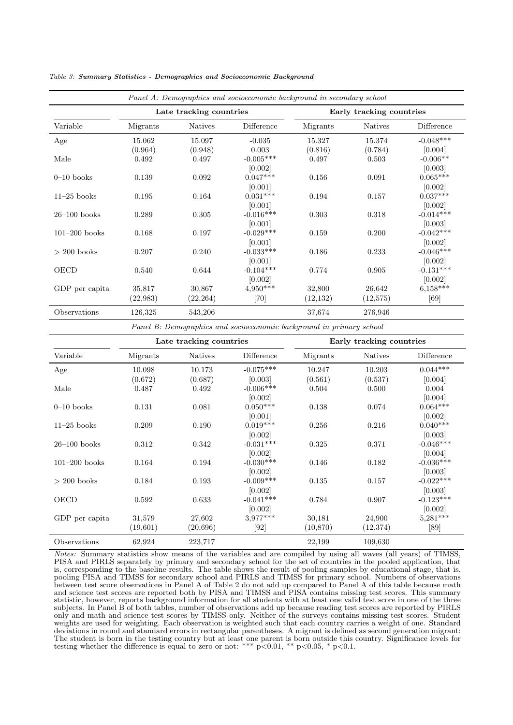|                 |           |                         | Panel A: Demographics and socioeconomic background in secondary school |                          |                |             |  |  |  |
|-----------------|-----------|-------------------------|------------------------------------------------------------------------|--------------------------|----------------|-------------|--|--|--|
|                 |           | Late tracking countries |                                                                        | Early tracking countries |                |             |  |  |  |
| Variable        | Migrants  | <b>Natives</b>          | Difference                                                             | Migrants                 | <b>Natives</b> | Difference  |  |  |  |
| Age             | 15.062    | 15.097                  | $-0.035$                                                               | 15.327                   | 15.374         | $-0.048***$ |  |  |  |
|                 | (0.964)   | (0.948)                 | 0.003                                                                  | (0.816)                  | (0.784)        | [0.004]     |  |  |  |
| Male            | 0.492     | 0.497                   | $-0.005***$                                                            | 0.497                    | 0.503          | $-0.006**$  |  |  |  |
|                 |           |                         | [0.002]                                                                |                          |                | [0.003]     |  |  |  |
| $0-10$ books    | 0.139     | 0.092                   | $0.047***$                                                             | 0.156                    | 0.091          | $0.065***$  |  |  |  |
|                 |           |                         | [0.001]                                                                |                          |                | [0.002]     |  |  |  |
| $11-25$ books   | 0.195     | 0.164                   | $0.031***$                                                             | 0.194                    | 0.157          | $0.037***$  |  |  |  |
|                 |           |                         | [0.001]                                                                |                          |                | [0.002]     |  |  |  |
| $26-100$ books  | 0.289     | 0.305                   | $-0.016***$                                                            | 0.303                    | 0.318          | $-0.014***$ |  |  |  |
|                 |           |                         | [0.001]                                                                |                          |                | [0.003]     |  |  |  |
| $101-200$ books | 0.168     | 0.197                   | $-0.029***$                                                            | 0.159                    | 0.200          | $-0.042***$ |  |  |  |
|                 |           |                         | [0.001]                                                                |                          |                | [0.002]     |  |  |  |
| $> 200$ books   | 0.207     | 0.240                   | $-0.033***$                                                            | 0.186                    | 0.233          | $-0.046***$ |  |  |  |
|                 |           |                         | [0.001]                                                                |                          |                | [0.002]     |  |  |  |
| OECD            | 0.540     | 0.644                   | $-0.104***$                                                            | 0.774                    | 0.905          | $-0.131***$ |  |  |  |
|                 |           |                         | [0.002]                                                                |                          |                | [0.002]     |  |  |  |
| GDP per capita  | 35,817    | 30,867                  | $4,950***$                                                             | 32,800                   | 26,642         | $6,158***$  |  |  |  |
|                 | (22, 983) | (22, 264)               | [70]                                                                   | (12, 132)                | (12,575)       | [69]        |  |  |  |
| Observations    | 126,325   | 543,206                 |                                                                        | 37,674                   | 276,946        |             |  |  |  |

Table 3: Summary Statistics - Demographics and Socioeconomic Background

Panel B: Demographics and socioeconomic background in primary school

|                 |          | Late tracking countries |             |           | Early tracking countries |             |  |  |  |  |
|-----------------|----------|-------------------------|-------------|-----------|--------------------------|-------------|--|--|--|--|
| Variable        | Migrants | <b>Natives</b>          | Difference  | Migrants  | <b>Natives</b>           | Difference  |  |  |  |  |
| Age             | 10.098   | 10.173                  | $-0.075***$ | 10.247    | 10.203                   | $0.044***$  |  |  |  |  |
|                 | (0.672)  | (0.687)                 | [0.003]     | (0.561)   | (0.537)                  | [0.004]     |  |  |  |  |
| Male            | 0.487    | 0.492                   | $-0.006***$ | 0.504     | 0.500                    | 0.004       |  |  |  |  |
|                 |          |                         | [0.002]     |           |                          | [0.004]     |  |  |  |  |
| $0-10$ books    | 0.131    | 0.081                   | $0.050***$  | 0.138     | 0.074                    | $0.064***$  |  |  |  |  |
|                 |          |                         | [0.001]     |           |                          | [0.002]     |  |  |  |  |
| $11-25$ books   | 0.209    | 0.190                   | $0.019***$  | 0.256     | 0.216                    | $0.040***$  |  |  |  |  |
|                 |          |                         | [0.002]     |           |                          | [0.003]     |  |  |  |  |
| $26-100$ books  | 0.312    | 0.342                   | $-0.031***$ | 0.325     | 0.371                    | $-0.046***$ |  |  |  |  |
|                 |          |                         | [0.002]     |           |                          | [0.004]     |  |  |  |  |
| $101-200$ books | 0.164    | 0.194                   | $-0.030***$ | 0.146     | 0.182                    | $-0.036***$ |  |  |  |  |
|                 |          |                         | [0.002]     |           |                          | [0.003]     |  |  |  |  |
| $> 200$ books   | 0.184    | 0.193                   | $-0.009***$ | 0.135     | 0.157                    | $-0.022***$ |  |  |  |  |
|                 |          |                         | [0.002]     |           |                          | [0.003]     |  |  |  |  |
| OECD            | 0.592    | 0.633                   | $-0.041***$ | 0.784     | 0.907                    | $-0.123***$ |  |  |  |  |
|                 |          |                         | [0.002]     |           |                          | [0.002]     |  |  |  |  |
| GDP per capita  | 31,579   | 27,602                  | $3,977***$  | 30,181    | 24,900                   | $5,281***$  |  |  |  |  |
|                 | (19,601) | (20, 696)               | [92]        | (10, 870) | (12, 374)                | [89]        |  |  |  |  |
| Observations    | 62,924   | 223,717                 |             | 22,199    | 109,630                  |             |  |  |  |  |

Notes: Summary statistics show means of the variables and are compiled by using all waves (all years) of TIMSS, PISA and PIRLS separately by primary and secondary school for the set of countries in the pooled application, that is, corresponding to the baseline results. The table shows the result of pooling samples by educational stage, that is, pooling PISA and TIMSS for secondary school and PIRLS and TIMSS for primary school. Numbers of observations between test score observations in Panel A of Table 2 do not add up compared to Panel A of this table because math and science test scores are reported both by PISA and TIMSS and PISA contains missing test scores. This summary statistic, however, reports background information for all students with at least one valid test score in one of the three subjects. In Panel B of both tables, number of observations add up because reading test scores are reported by PIRLS only and math and science test scores by TIMSS only. Neither of the surveys contains missing test scores. Student weights are used for weighting. Each observation is weighted such that each country carries a weight of one. Standard deviations in round and standard errors in rectangular parentheses. A migrant is defined as second generation migrant: The student is born in the testing country but at least one parent is born outside this country. Significance levels for testing whether the difference is equal to zero or not: \*\*\*  $p<0.01$ , \*\*  $p<0.05$ , \*  $p<0.1$ .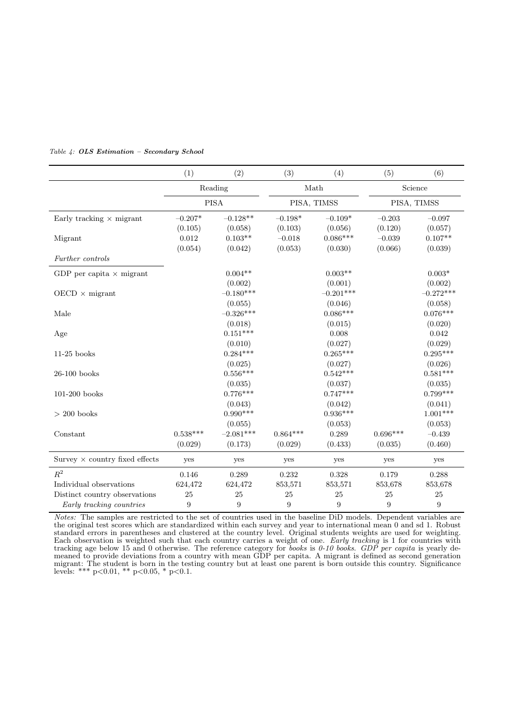|                                       | (1)              | (2)              | (3)              | (4)              | (5)              | (6)              |  |
|---------------------------------------|------------------|------------------|------------------|------------------|------------------|------------------|--|
|                                       |                  | Reading          |                  | Math             |                  | Science          |  |
|                                       |                  | <b>PISA</b>      |                  | PISA, TIMSS      | PISA, TIMSS      |                  |  |
| Early tracking $\times$ migrant       | $-0.207*$        | $-0.128**$       | $-0.198*$        | $-0.109*$        | $-0.203$         | $-0.097$         |  |
|                                       | (0.105)          | (0.058)          | (0.103)          | (0.056)          | (0.120)          | (0.057)          |  |
| Migrant                               | 0.012            | $0.103**$        | $-0.018$         | $0.086***$       | $-0.039$         | $0.107**$        |  |
|                                       | (0.054)          | (0.042)          | (0.053)          | (0.030)          | (0.066)          | (0.039)          |  |
| Further controls                      |                  |                  |                  |                  |                  |                  |  |
| GDP per capita $\times$ migrant       |                  | $0.004**$        |                  | $0.003**$        |                  | $0.003*$         |  |
|                                       |                  | (0.002)          |                  | (0.001)          |                  | (0.002)          |  |
| $OECD \times migrant$                 |                  | $-0.180***$      |                  | $-0.201***$      |                  | $-0.272***$      |  |
|                                       |                  | (0.055)          |                  | (0.046)          |                  | (0.058)          |  |
| Male                                  |                  | $-0.326***$      |                  | $0.086***$       |                  | $0.076***$       |  |
|                                       |                  | (0.018)          |                  | (0.015)          |                  | (0.020)          |  |
| Age                                   |                  | $0.151***$       |                  | 0.008            |                  | 0.042            |  |
|                                       |                  | (0.010)          |                  | (0.027)          |                  | (0.029)          |  |
| $11-25$ books                         |                  | $0.284***$       |                  | $0.265***$       |                  | $0.295***$       |  |
|                                       |                  | (0.025)          |                  | (0.027)          |                  | (0.026)          |  |
| 26-100 books                          |                  | $0.556***$       |                  | $0.542***$       |                  | $0.581***$       |  |
|                                       |                  | (0.035)          |                  | (0.037)          |                  | (0.035)          |  |
| 101-200 books                         |                  | $0.776***$       |                  | $0.747***$       |                  | $0.799***$       |  |
|                                       |                  | (0.043)          |                  | (0.042)          |                  | (0.041)          |  |
| $> 200$ books                         |                  | $0.990***$       |                  | $0.936***$       |                  | $1.001***$       |  |
|                                       |                  | (0.055)          |                  | (0.053)          |                  | (0.053)          |  |
| Constant                              | $0.538***$       | $-2.081***$      | $0.864***$       | 0.289            | $0.696***$       | $-0.439$         |  |
|                                       | (0.029)          | (0.173)          | (0.029)          | (0.433)          | (0.035)          | (0.460)          |  |
| Survey $\times$ country fixed effects | yes              | yes              | yes              | yes              | yes              | yes              |  |
| $R^2$                                 | 0.146            | 0.289            | 0.232            | 0.328            | 0.179            | 0.288            |  |
| Individual observations               | 624,472          | 624,472          | 853,571          | 853,571          | 853,678          | 853,678          |  |
| Distinct country observations         | 25               | 25               | 25               | 25               | 25               | 25               |  |
| Early tracking countries              | $\boldsymbol{9}$ | $\boldsymbol{9}$ | $\boldsymbol{9}$ | $\boldsymbol{9}$ | $\boldsymbol{9}$ | $\boldsymbol{9}$ |  |

#### Table 4: OLS Estimation – Secondary School

Notes: The samples are restricted to the set of countries used in the baseline DiD models. Dependent variables are the original test scores which are standardized within each survey and year to international mean 0 and sd 1. Robust standard errors in parentheses and clustered at the country level. Original students weights are used for weighting. Each observation is weighted such that each country carries a weight of one. Early tracking is 1 for countries with tracking age below 15 and 0 otherwise. The reference category for books is  $0-10$  books. GDP per capita is yearly demeaned to provide deviations from a country with mean GDP per capita. A migrant is defined as second generation migrant: The student is born in the testing country but at least one parent is born outside this country. Significance levels: \*\*\* p<0.01, \*\* p<0.05, \* p<0.1.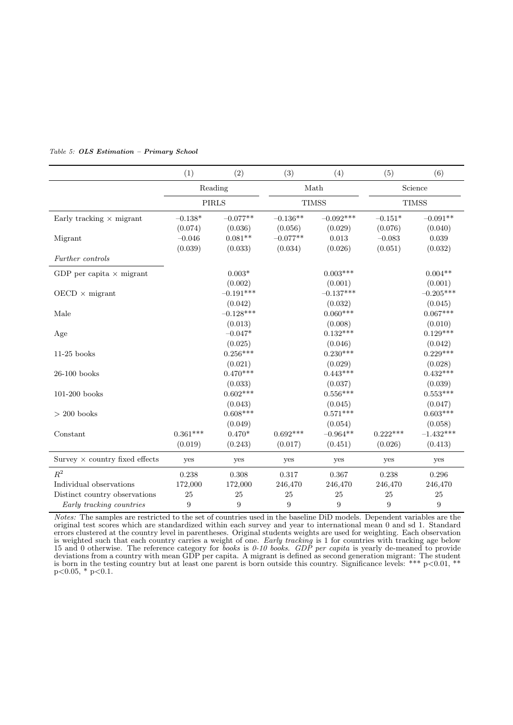|                                       | (1)              | (2)              | (3)            | (4)            | (5)              | (6)         |  |
|---------------------------------------|------------------|------------------|----------------|----------------|------------------|-------------|--|
|                                       |                  | Reading          |                | Math           |                  | Science     |  |
|                                       |                  | <b>PIRLS</b>     |                | <b>TIMSS</b>   | <b>TIMSS</b>     |             |  |
| Early tracking $\times$ migrant       | $-0.138*$        | $-0.077**$       | $-0.136**$     | $-0.092***$    | $-0.151*$        | $-0.091**$  |  |
|                                       | (0.074)          | (0.036)          | (0.056)        | (0.029)        | (0.076)          | (0.040)     |  |
| Migrant                               | $-0.046$         | $0.081**$        | $-0.077**$     | 0.013          | $-0.083$         | 0.039       |  |
|                                       | (0.039)          | (0.033)          | (0.034)        | (0.026)        | (0.051)          | (0.032)     |  |
| Further controls                      |                  |                  |                |                |                  |             |  |
| GDP per capita $\times$ migrant       |                  | $0.003*$         |                | $0.003***$     |                  | $0.004**$   |  |
|                                       |                  | (0.002)          |                | (0.001)        |                  | (0.001)     |  |
| $OECD \times$ migrant                 |                  | $-0.191***$      |                | $-0.137***$    |                  | $-0.205***$ |  |
|                                       |                  | (0.042)          |                | (0.032)        |                  | (0.045)     |  |
| Male                                  |                  | $-0.128***$      |                | $0.060***$     |                  | $0.067***$  |  |
|                                       |                  | (0.013)          |                | (0.008)        |                  | (0.010)     |  |
| Age                                   |                  | $-0.047*$        |                | $0.132***$     |                  | $0.129***$  |  |
|                                       |                  | (0.025)          |                | (0.046)        |                  | (0.042)     |  |
| $11-25$ books                         |                  | $0.256***$       |                | $0.230***$     |                  | $0.229***$  |  |
|                                       |                  | (0.021)          |                | (0.029)        |                  | (0.028)     |  |
| $26-100$ books                        |                  | $0.470***$       |                | $0.443***$     |                  | $0.432***$  |  |
|                                       |                  | (0.033)          |                | (0.037)        |                  | (0.039)     |  |
| $101-200$ books                       |                  | $0.602***$       |                | $0.556***$     |                  | $0.553***$  |  |
|                                       |                  | (0.043)          |                | (0.045)        |                  | (0.047)     |  |
| $> 200$ books                         |                  | $0.608***$       |                | $0.571***$     |                  | $0.603***$  |  |
|                                       |                  | (0.049)          |                | (0.054)        |                  | (0.058)     |  |
| Constant                              | $0.361***$       | $0.470*$         | $0.692***$     | $-0.964**$     | $0.222***$       | $-1.432***$ |  |
|                                       | (0.019)          | (0.243)          | (0.017)        | (0.451)        | (0.026)          | (0.413)     |  |
| Survey $\times$ country fixed effects | yes              | yes              | yes            | yes            | yes              | yes         |  |
| $R^2$                                 | 0.238            | 0.308            | 0.317          | 0.367          | 0.238            | 0.296       |  |
| Individual observations               | 172,000          | 172,000          | 246,470        | 246,470        | 246,470          | 246,470     |  |
| Distinct country observations         | 25               | 25               | 25             | 25             | 25               | 25          |  |
| Early tracking countries              | $\boldsymbol{9}$ | $\boldsymbol{9}$ | $\overline{9}$ | $\overline{9}$ | $\boldsymbol{9}$ | 9           |  |

#### Table 5: OLS Estimation – Primary School

Notes: The samples are restricted to the set of countries used in the baseline DiD models. Dependent variables are the original test scores which are standardized within each survey and year to international mean 0 and sd 1. Standard errors clustered at the country level in parentheses. Original students weights are used for weighting. Each observation is weighted such that each country carries a weight of one. Early tracking is 1 for countries with tracking age below 15 and 0 otherwise. The reference category for books is 0-10 books. GDP per capita is yearly de-meaned to provide deviations from a country with mean GDP per capita. A migrant is defined as second generation migrant: The student is born in the testing country but at least one parent is born outside this country. Significance levels: \*\*\*  $p<0.01$ , \*\*  $p<0.05$ , \*  $p<0.1$ .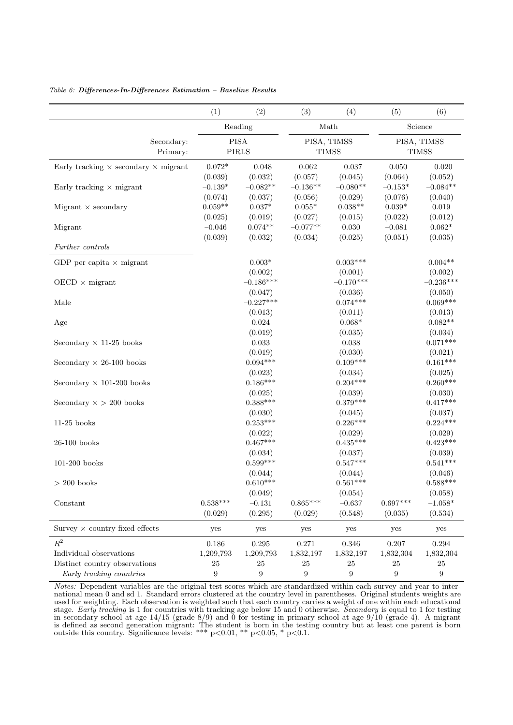|                                                    | (1)                   | (2)                              | (3)                   | (4)                              | (5)                   | (6)                              |  |
|----------------------------------------------------|-----------------------|----------------------------------|-----------------------|----------------------------------|-----------------------|----------------------------------|--|
|                                                    | Reading               |                                  |                       | Math                             | Science               |                                  |  |
| Secondary:<br>Primary:                             |                       | <b>PISA</b><br><b>PIRLS</b>      |                       | PISA, TIMSS<br><b>TIMSS</b>      |                       | PISA, TIMSS<br><b>TIMSS</b>      |  |
| Early tracking $\times$ secondary $\times$ migrant | $-0.072*$<br>(0.039)  | $-0.048$<br>(0.032)              | $-0.062$<br>(0.057)   | $-0.037$<br>(0.045)              | $-0.050$<br>(0.064)   | $-0.020$<br>(0.052)              |  |
| Early tracking $\times$ migrant                    | $-0.139*$<br>(0.074)  | $-0.082**$<br>(0.037)            | $-0.136**$<br>(0.056) | $-0.080**$<br>(0.029)            | $-0.153*$<br>(0.076)  | $-0.084**$<br>(0.040)            |  |
| Migrant $\times$ secondary                         | $0.059**$<br>(0.025)  | $0.037*$<br>(0.019)              | $0.055*$<br>(0.027)   | $0.038**$<br>(0.015)             | $0.039*$<br>(0.022)   | $\,0.019\,$<br>(0.012)           |  |
| Migrant                                            | $-0.046$<br>(0.039)   | $0.074**$<br>(0.032)             | $-0.077**$<br>(0.034) | $0.030\,$<br>(0.025)             | $-0.081$<br>(0.051)   | $0.062^{\ast}$<br>(0.035)        |  |
| Further controls                                   |                       |                                  |                       |                                  |                       |                                  |  |
| GDP per capita $\times$ migrant                    |                       | $0.003*$<br>(0.002)              |                       | $0.003***$<br>(0.001)            |                       | $0.004**$<br>(0.002)             |  |
| $OECD \times migrant$                              |                       | $-0.186***$<br>(0.047)           |                       | $-0.170***$<br>(0.036)           |                       | $-0.236***$<br>(0.050)           |  |
| Male                                               |                       | $-0.227***$                      |                       | $0.074***$                       |                       | $0.069***$                       |  |
| Age                                                |                       | (0.013)<br>0.024                 |                       | (0.011)<br>$0.068*$              |                       | (0.013)<br>$0.082**$             |  |
| Secondary $\times$ 11-25 books                     |                       | (0.019)<br>0.033                 |                       | (0.035)<br>0.038                 |                       | (0.034)<br>$0.071***$            |  |
| Secondary $\times$ 26-100 books                    |                       | (0.019)<br>$0.094***$            |                       | (0.030)<br>$0.109***$            |                       | (0.021)<br>$0.161***$            |  |
| Secondary $\times$ 101-200 books                   |                       | (0.023)<br>$0.186***$<br>(0.025) |                       | (0.034)<br>$0.204***$<br>(0.039) |                       | (0.025)<br>$0.260***$<br>(0.030) |  |
| Secondary $\times$ > 200 books                     |                       | $0.388***$<br>(0.030)            |                       | $0.379***$<br>(0.045)            |                       | $0.417***$<br>(0.037)            |  |
| $11-25$ books                                      |                       | $0.253***$<br>(0.022)            |                       | $0.226***$<br>(0.029)            |                       | $0.224***$<br>(0.029)            |  |
| $26\mbox{-}100$ books                              |                       | $0.467***$<br>(0.034)            |                       | $0.435***$<br>(0.037)            |                       | $0.423***$<br>(0.039)            |  |
| $101-200$ books                                    |                       | $0.599***$<br>(0.044)            |                       | $0.547***$<br>(0.044)            |                       | $0.541***$<br>(0.046)            |  |
| $> 200$ books                                      |                       | $0.610***$                       |                       | $0.561***$                       |                       | $0.588***$                       |  |
| Constant                                           | $0.538***$<br>(0.029) | (0.049)<br>$-0.131$<br>(0.295)   | $0.865***$<br>(0.029) | (0.054)<br>$-0.637$<br>(0.548)   | $0.697***$<br>(0.035) | (0.058)<br>$-1.058*$<br>(0.534)  |  |
| Survey $\times$ country fixed effects              | yes                   | yes                              | yes                   | yes                              | yes                   | yes                              |  |
| $R^2$                                              | 0.186                 | 0.295                            | 0.271                 | 0.346                            | 0.207                 | 0.294                            |  |
| Individual observations                            | 1,209,793             | 1,209,793                        | 1,832,197             | 1,832,197                        | 1,832,304             | 1,832,304                        |  |
| Distinct country observations                      | 25                    | 25                               | $25\,$                | $25\,$                           | 25                    | 25                               |  |
| Early tracking countries                           | 9                     | 9                                | 9                     | 9                                | $\boldsymbol{9}$      | $\boldsymbol{9}$                 |  |

#### Table 6: Differences-In-Differences Estimation – Baseline Results

Notes: Dependent variables are the original test scores which are standardized within each survey and year to international mean 0 and sd 1. Standard errors clustered at the country level in parentheses. Original students weights are used for weighting. Each observation is weighted such that each country carries a weight of one within each educational stage. Early tracking is 1 for countries with tracking age below 15 and 0 otherwise. Secondary is equal to 1 for testing in secondary school at age 14/15 (grade 8/9) and 0 for testing in primary school at age 9/10 (grade 4). A migrant is defined as second generation migrant: The student is born in the testing country but at least one parent is born outside this country. Significance levels: \*\*\*  $p<0.01$ , \*\*  $p<0.05$ , \*  $p<0.1$ .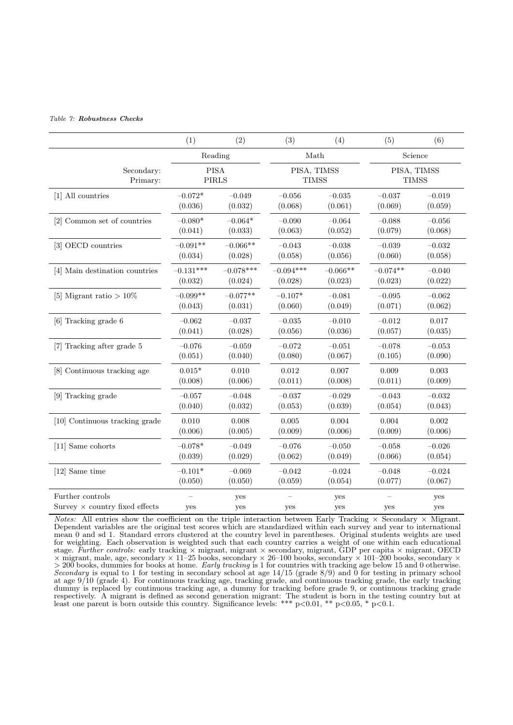#### Table 7: Robustness Checks

|                                                           | (1)                         | (2)         | (3)                         | (4)        | (5)                         | (6)        |  |
|-----------------------------------------------------------|-----------------------------|-------------|-----------------------------|------------|-----------------------------|------------|--|
|                                                           |                             | Reading     | Math                        |            |                             | Science    |  |
| Secondary:<br>Primary:                                    | <b>PISA</b><br><b>PIRLS</b> |             | PISA, TIMSS<br><b>TIMSS</b> |            | PISA, TIMSS<br><b>TIMSS</b> |            |  |
| [1] All countries                                         | $-0.072*$                   | $-0.049$    | $-0.056$                    | $-0.035$   | $-0.037$                    | $-0.019$   |  |
|                                                           | (0.036)                     | (0.032)     | (0.068)                     | (0.061)    | (0.069)                     | (0.059)    |  |
| [2] Common set of countries                               | $-0.080*$                   | $-0.064*$   | $-0.090$                    | $-0.064$   | $-0.088$                    | $-0.056$   |  |
|                                                           | (0.041)                     | (0.033)     | (0.063)                     | (0.052)    | (0.079)                     | (0.068)    |  |
| [3] OECD countries                                        | $-0.091**$                  | $-0.066**$  | $-0.043$                    | $-0.038$   | $-0.039$                    | $-0.032$   |  |
|                                                           | (0.034)                     | (0.028)     | (0.058)                     | (0.056)    | (0.060)                     | (0.058)    |  |
| [4] Main destination countries                            | $-0.131***$                 | $-0.078***$ | $-0.094***$                 | $-0.066**$ | $-0.074**$                  | $-0.040$   |  |
|                                                           | (0.032)                     | (0.024)     | (0.028)                     | (0.023)    | (0.023)                     | (0.022)    |  |
| [5] Migrant ratio $>10\%$                                 | $-0.099**$                  | $-0.077**$  | $-0.107*$                   | $-0.081$   | $-0.095$                    | $-0.062$   |  |
|                                                           | (0.043)                     | (0.031)     | (0.060)                     | (0.049)    | (0.071)                     | (0.062)    |  |
| [6] Tracking grade 6                                      | $-0.062$                    | $-0.037$    | $-0.035$                    | $-0.010$   | $-0.012$                    | 0.017      |  |
|                                                           | (0.041)                     | (0.028)     | (0.056)                     | (0.036)    | (0.057)                     | (0.035)    |  |
| [7] Tracking after grade 5                                | $-0.076$                    | $-0.059$    | $-0.072$                    | $-0.051$   | $-0.078$                    | $-0.053$   |  |
|                                                           | (0.051)                     | (0.040)     | (0.080)                     | (0.067)    | (0.105)                     | (0.090)    |  |
| [8] Continuous tracking age                               | $0.015*$                    | 0.010       | 0.012                       | 0.007      | 0.009                       | 0.003      |  |
|                                                           | (0.008)                     | (0.006)     | (0.011)                     | (0.008)    | (0.011)                     | (0.009)    |  |
| [9] Tracking grade                                        | $-0.057$                    | $-0.048$    | $-0.037$                    | $-0.029$   | $-0.043$                    | $-0.032$   |  |
|                                                           | (0.040)                     | (0.032)     | (0.053)                     | (0.039)    | (0.054)                     | (0.043)    |  |
| [10] Continuous tracking grade                            | 0.010                       | 0.008       | 0.005                       | 0.004      | 0.004                       | 0.002      |  |
|                                                           | (0.006)                     | (0.005)     | (0.009)                     | (0.006)    | (0.009)                     | (0.006)    |  |
| [11] Same cohorts                                         | $-0.078*$                   | $-0.049$    | $-0.076$                    | $-0.050$   | $-0.058$                    | $-0.026$   |  |
|                                                           | (0.039)                     | (0.029)     | (0.062)                     | (0.049)    | (0.066)                     | (0.054)    |  |
| [12] Same time                                            | $-0.101*$                   | $-0.069$    | $-0.042$                    | $-0.024$   | $-0.048$                    | $-0.024$   |  |
|                                                           | (0.050)                     | (0.050)     | (0.059)                     | (0.054)    | (0.077)                     | (0.067)    |  |
| Further controls<br>Survey $\times$ country fixed effects | yes                         | yes<br>yes  | yes                         | yes<br>yes | yes                         | yes<br>yes |  |

Notes: All entries show the coefficient on the triple interaction between Early Tracking  $\times$  Secondary  $\times$  Migrant. Dependent variables are the original test scores which are standardized within each survey and year to international mean 0 and sd 1. Standard errors clustered at the country level in parentheses. Original students weights are used for weighting. Each observation is weighted such that each country carries a weight of one within each educational stage. Further controls: early tracking  $\times$  migrant, migrant  $\times$  secondary, migrant, GDP per capita  $\times$  migrant, OECD  $\times$  migrant, male, age, secondary  $\times$  11–25 books, secondary  $\times$  26–100 books, secondary  $\times$  101–200 books, secondary  $\times$  $>$  200 books, dummies for books at home. Early tracking is 1 for countries with tracking age below 15 and 0 otherwise. Secondary is equal to 1 for testing in secondary school at age 14/15 (grade 8/9) and 0 for testing in primary school at age 9/10 (grade 4). For continuous tracking age, tracking grade, and continuous tracking grade, the early tracking dummy is replaced by continuous tracking age, a dummy for tracking before grade 9, or continuous tracking grade respectively. A migrant is defined as second generation migrant: The student is born in the testing country but at least one parent is born outside this country. Significance levels: \*\*\* p<0.01, \*\* p<0.05, \* p<0.1.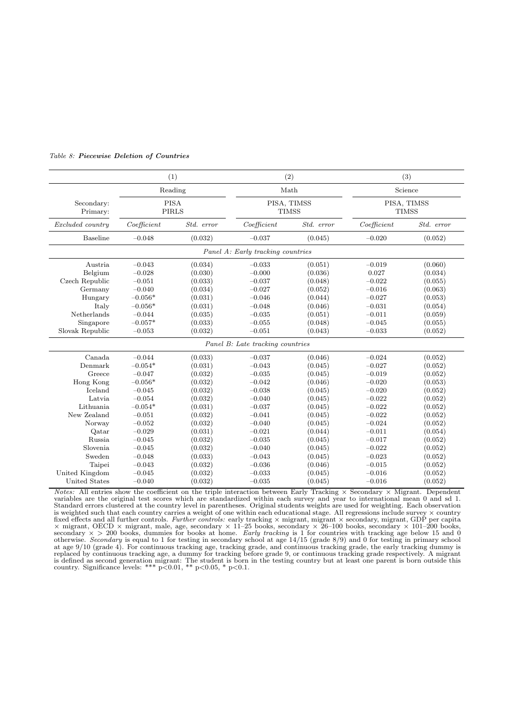|                        | (1)                         |            |                                   | (2)        | (3)         |                             |  |  |
|------------------------|-----------------------------|------------|-----------------------------------|------------|-------------|-----------------------------|--|--|
|                        | Reading                     |            | Math                              |            |             | Science                     |  |  |
| Secondary:<br>Primary: | <b>PISA</b><br><b>PIRLS</b> |            | PISA, TIMSS<br><b>TIMSS</b>       |            |             | PISA, TIMSS<br><b>TIMSS</b> |  |  |
| Excluded country       | Coefficient                 | Std. error | Coefficient                       | Std. error | Coefficient | Std. error                  |  |  |
| <b>Baseline</b>        | $-0.048$                    | (0.032)    | $-0.037$                          | (0.045)    |             | (0.052)                     |  |  |
|                        |                             |            | Panel A: Early tracking countries |            |             |                             |  |  |
| Austria                | $-0.043$                    | (0.034)    | $-0.033$                          | (0.051)    | $-0.019$    | (0.060)                     |  |  |
| Belgium                | $-0.028$                    | (0.030)    | $-0.000$                          | (0.036)    | 0.027       | (0.034)                     |  |  |
| Czech Republic         | $-0.051$                    | (0.033)    | $-0.037$                          | (0.048)    | $-0.022$    | (0.055)                     |  |  |
| Germany                | $-0.040$                    | (0.034)    | $-0.027$                          | (0.052)    | $-0.016$    | (0.063)                     |  |  |
| Hungary                | $-0.056*$                   | (0.031)    | $-0.046$                          | (0.044)    | $-0.027$    | (0.053)                     |  |  |
| Italy                  | $-0.056*$                   | (0.031)    | $-0.048$                          | (0.046)    | $-0.031$    | (0.054)                     |  |  |
| Netherlands            | $-0.044$                    | (0.035)    | $-0.035$                          | (0.051)    | $-0.011$    | (0.059)                     |  |  |
| Singapore              | $-0.057*$                   | (0.033)    | $-0.055$                          | (0.048)    | $-0.045$    | (0.055)                     |  |  |
| Slovak Republic        | $-0.053$                    | (0.032)    | $-0.051$                          | (0.043)    | $-0.033$    | (0.052)                     |  |  |
|                        |                             |            | Panel B: Late tracking countries  |            |             |                             |  |  |
| Canada                 | $-0.044$                    | (0.033)    | $-0.037$                          | (0.046)    | $-0.024$    | (0.052)                     |  |  |
| Denmark                | $-0.054*$                   | (0.031)    | $-0.043$                          | (0.045)    | $-0.027$    | (0.052)                     |  |  |
| Greece                 | $-0.047$                    | (0.032)    | $-0.035$                          | (0.045)    | $-0.019$    | (0.052)                     |  |  |
| Hong Kong              | $-0.056*$                   | (0.032)    | $-0.042$                          | (0.046)    | $-0.020$    | (0.053)                     |  |  |
| Iceland                | $-0.045$                    | (0.032)    | $-0.038$                          | (0.045)    | $-0.020$    | (0.052)                     |  |  |
| Latvia                 | $-0.054$                    | (0.032)    | $-0.040$                          | (0.045)    | $-0.022$    | (0.052)                     |  |  |
| Lithuania              | $-0.054*$                   | (0.031)    | $-0.037$                          | (0.045)    | $-0.022$    | (0.052)                     |  |  |
| New Zealand            | $-0.051$                    | (0.032)    | $-0.041$                          | (0.045)    | $-0.022$    | (0.052)                     |  |  |
| Norway                 | $-0.052$                    | (0.032)    | $-0.040$                          | (0.045)    | $-0.024$    | (0.052)                     |  |  |
| Qatar                  | $-0.029$                    | (0.031)    | $-0.021$                          | (0.044)    | $-0.011$    | (0.054)                     |  |  |
| Russia                 | $-0.045$                    | (0.032)    | $-0.035$                          | (0.045)    | $-0.017$    | (0.052)                     |  |  |
| Slovenia               | $-0.045$                    | (0.032)    | $-0.040$                          | (0.045)    | $-0.022$    | (0.052)                     |  |  |
| Sweden                 | $-0.048$                    | (0.033)    | $-0.043$                          | (0.045)    | $-0.023$    | (0.052)                     |  |  |
| Taipei                 | $-0.043$                    | (0.032)    | $-0.036$                          | (0.046)    | $-0.015$    | (0.052)                     |  |  |
| United Kingdom         | $-0.045$                    | (0.032)    | $-0.033$                          | (0.045)    | $-0.016$    | (0.052)                     |  |  |
| United States          | $-0.040$                    | (0.032)    | $-0.035$                          | (0.045)    | $-0.016$    | (0.052)                     |  |  |

#### Table 8: Piecewise Deletion of Countries

*Notes:* All entries show the coefficient on the triple interaction between Early Tracking  $\times$  Secondary  $\times$  Migrant. Dependent variables are the original test scores which are standardized within each survey and year t is weighted such that each country carries a weight of one within each educational stage. All regressions include survey × country fixed effects and all further controls. Further controls: early tracking  $\times$  migrant, migrant  $\times$  secondary, migrant, GDP per capita  $\times$  migrant, OECD  $\times$  migrant, male, age, secondary  $\times$  11-25 books, secondary  $\times$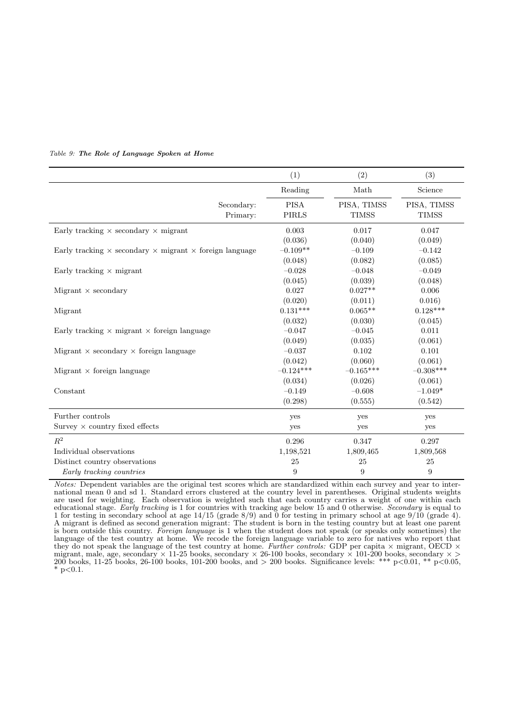|                                                                              | (1)          | (2)          | (3)          |
|------------------------------------------------------------------------------|--------------|--------------|--------------|
|                                                                              | Reading      | Math         | Science      |
| Secondary:                                                                   | <b>PISA</b>  | PISA, TIMSS  | PISA, TIMSS  |
| Primary:                                                                     | <b>PIRLS</b> | <b>TIMSS</b> | <b>TIMSS</b> |
| Early tracking $\times$ secondary $\times$ migrant                           | 0.003        | 0.017        | 0.047        |
|                                                                              | (0.036)      | (0.040)      | (0.049)      |
| Early tracking $\times$ secondary $\times$ migrant $\times$ foreign language | $-0.109**$   | $-0.109$     | $-0.142$     |
|                                                                              | (0.048)      | (0.082)      | (0.085)      |
| Early tracking $\times$ migrant                                              | $-0.028$     | $-0.048$     | $-0.049$     |
|                                                                              | (0.045)      | (0.039)      | (0.048)      |
| Migrant $\times$ secondary                                                   | 0.027        | $0.027**$    | 0.006        |
|                                                                              | (0.020)      | (0.011)      | 0.016)       |
| Migrant                                                                      | $0.131***$   | $0.065**$    | $0.128***$   |
|                                                                              | (0.032)      | (0.030)      | (0.045)      |
| Early tracking $\times$ migrant $\times$ foreign language                    | $-0.047$     | $-0.045$     | 0.011        |
|                                                                              | (0.049)      | (0.035)      | (0.061)      |
| Migrant $\times$ secondary $\times$ foreign language                         | $-0.037$     | 0.102        | 0.101        |
|                                                                              | (0.042)      | (0.060)      | (0.061)      |
| Migrant $\times$ foreign language                                            | $-0.124***$  | $-0.165***$  | $-0.308***$  |
|                                                                              | (0.034)      | (0.026)      | (0.061)      |
| Constant                                                                     | $-0.149$     | $-0.608$     | $-1.049*$    |
|                                                                              | (0.298)      | (0.555)      | (0.542)      |
| Further controls                                                             | yes          | yes          | yes          |
| Survey $\times$ country fixed effects                                        | yes          | yes          | yes          |
| $R^2$                                                                        | 0.296        | 0.347        | 0.297        |
| Individual observations                                                      | 1,198,521    | 1,809,465    | 1,809,568    |
| Distinct country observations                                                | 25           | 25           | 25           |
| Early tracking countries                                                     | 9            | 9            | 9            |

#### Table 9: The Role of Language Spoken at Home

Notes: Dependent variables are the original test scores which are standardized within each survey and year to international mean 0 and sd 1. Standard errors clustered at the country level in parentheses. Original students weights are used for weighting. Each observation is weighted such that each country carries a weight of one within each educational stage. Early tracking is 1 for countries with tracking age below 15 and 0 otherwise. Secondary is equal to 1 for testing in secondary school at age 14/15 (grade 8/9) and 0 for testing in primary school at age 9/10 (grade 4). A migrant is defined as second generation migrant: The student is born in the testing country but at least one parent is born outside this country. Foreign language is 1 when the student does not speak (or speaks only sometimes) the language of the test country at home. We recode the foreign language variable to zero for natives who report that they do not speak the language of the test country at home. Further controls: GDP per capita  $\times$  migrant, OECD  $\times$ migrant, male, age, secondary  $\times$  11-25 books, secondary  $\times$  26-100 books, secondary  $\times$  101-200 books, secondary  $\times$ 200 books, 11-25 books, 26-100 books, 101-200 books, and > 200 books. Significance levels: \*\*\* p<0.01, \*\* p<0.05, \*  $p<0.1$ .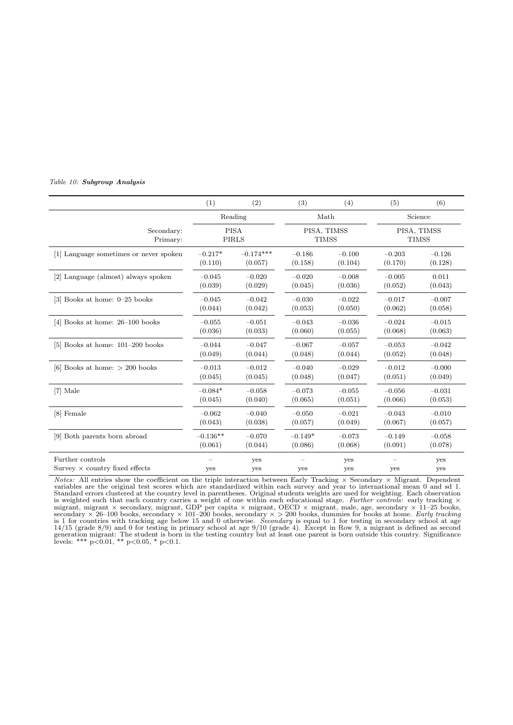#### Table 10: Subgroup Analysis

|                                                           | (1)        | (2)                         | (3)         | (4)          | (5)      | (6)                         |  |
|-----------------------------------------------------------|------------|-----------------------------|-------------|--------------|----------|-----------------------------|--|
|                                                           |            | Reading                     |             | Math         | Science  |                             |  |
| Secondary:<br>Primary:                                    |            | <b>PISA</b><br><b>PIRLS</b> | PISA, TIMSS | <b>TIMSS</b> |          | PISA, TIMSS<br><b>TIMSS</b> |  |
| [1] Language sometimes or never spoken                    | $-0.217*$  | $-0.174***$                 | $-0.186$    | $-0.100$     | $-0.203$ | $-0.126$                    |  |
|                                                           | (0.110)    | (0.057)                     | (0.158)     | (0.104)      | (0.170)  | (0.128)                     |  |
| [2] Language (almost) always spoken                       | $-0.045$   | $-0.020$                    | $-0.020$    | $-0.008$     | $-0.005$ | 0.011                       |  |
|                                                           | (0.039)    | (0.029)                     | (0.045)     | (0.036)      | (0.052)  | (0.043)                     |  |
| [3] Books at home: 0-25 books                             | $-0.045$   | $-0.042$                    | $-0.030$    | $-0.022$     | $-0.017$ | $-0.007$                    |  |
|                                                           | (0.044)    | (0.042)                     | (0.053)     | (0.050)      | (0.062)  | (0.058)                     |  |
| [4] Books at home: $26-100$ books                         | $-0.055$   | $-0.051$                    | $-0.043$    | $-0.036$     | $-0.024$ | $-0.015$                    |  |
|                                                           | (0.036)    | (0.033)                     | (0.060)     | (0.055)      | (0.068)  | (0.063)                     |  |
| [5] Books at home: $101-200$ books                        | $-0.044$   | $-0.047$                    | $-0.067$    | $-0.057$     | $-0.053$ | $-0.042$                    |  |
|                                                           | (0.049)    | (0.044)                     | (0.048)     | (0.044)      | (0.052)  | (0.048)                     |  |
| [6] Books at home: $> 200$ books                          | $-0.013$   | $-0.012$                    | $-0.040$    | $-0.029$     | $-0.012$ | $-0.000$                    |  |
|                                                           | (0.045)    | (0.045)                     | (0.048)     | (0.047)      | (0.051)  | (0.049)                     |  |
| [7] Male                                                  | $-0.084*$  | $-0.058$                    | $-0.073$    | $-0.055$     | $-0.056$ | $-0.031$                    |  |
|                                                           | (0.045)    | (0.040)                     | (0.065)     | (0.051)      | (0.066)  | (0.053)                     |  |
| [8] Female                                                | $-0.062$   | $-0.040$                    | $-0.050$    | $-0.021$     | $-0.043$ | $-0.010$                    |  |
|                                                           | (0.043)    | (0.038)                     | (0.057)     | (0.049)      | (0.067)  | (0.057)                     |  |
| [9] Both parents born abroad                              | $-0.136**$ | $-0.070$                    | $-0.149*$   | $-0.073$     | $-0.149$ | $-0.058$                    |  |
|                                                           | (0.061)    | (0.044)                     | (0.086)     | (0.068)      | (0.091)  | (0.078)                     |  |
| Further controls<br>Survey $\times$ country fixed effects | yes        | yes<br>yes                  | yes         | yes<br>yes   | yes      | yes<br>yes                  |  |

*Notes:* All entries show the coefficient on the triple interaction between Early Tracking × Secondary × Migrant. Dependent variables are the original test scores which are standardized within each survey and year to inte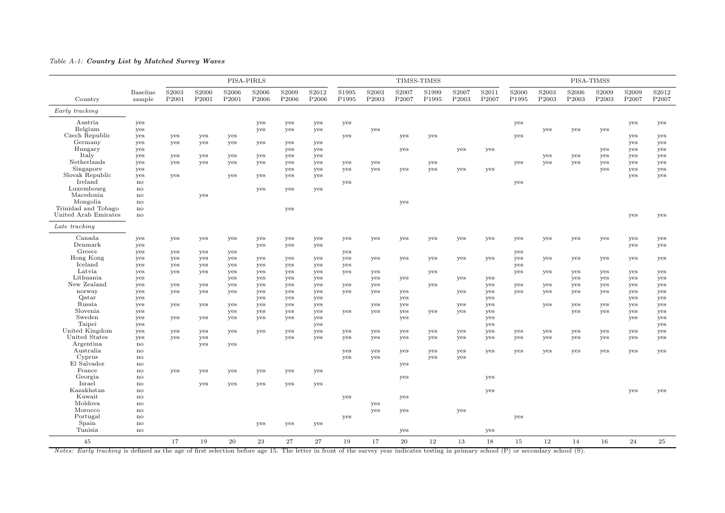#### Table A-1: Country List by Matched Survey Waves

|                      |                            |                |                |                | PISA-PIRLS                 |                            |                |                |                            |                | TIMSS-TIMSS    |                            |                |                            |                |                            | PISA-TIMSS                 |                |                |
|----------------------|----------------------------|----------------|----------------|----------------|----------------------------|----------------------------|----------------|----------------|----------------------------|----------------|----------------|----------------------------|----------------|----------------------------|----------------|----------------------------|----------------------------|----------------|----------------|
| Country              | <b>Baseline</b><br>sample  | S2003<br>P2001 | S2000<br>P2001 | S2006<br>P2001 | S2006<br>P <sub>2006</sub> | S2009<br>P <sub>2006</sub> | S2012<br>P2006 | S1995<br>P1995 | S2003<br>P <sub>2003</sub> | S2007<br>P2007 | S1999<br>P1995 | S2007<br>P <sub>2003</sub> | S2011<br>P2007 | S <sub>2000</sub><br>P1995 | S2003<br>P2003 | S2006<br>P <sub>2003</sub> | S2009<br>P <sub>2003</sub> | S2009<br>P2007 | S2012<br>P2007 |
| Early tracking       |                            |                |                |                |                            |                            |                |                |                            |                |                |                            |                |                            |                |                            |                            |                |                |
|                      |                            |                |                |                |                            |                            |                |                |                            |                |                |                            |                |                            |                |                            |                            |                |                |
| Austria              | yes                        |                |                |                | yes                        | yes                        | yes            | yes            |                            |                |                |                            |                | yes                        |                |                            |                            | yes            | yes            |
| Belgium              | yes                        |                |                |                | yes                        | yes                        | yes            |                | yes                        |                |                |                            |                |                            | yes            | yes                        | yes                        |                |                |
| Czech Republic       | yes                        | yes            | yes            | yes            |                            |                            |                | yes            |                            | yes            | yes            |                            |                | yes                        |                |                            |                            | yes            | yes            |
| Germany              | yes                        | yes            | yes            | yes            | yes                        | yes                        | yes            |                |                            |                |                |                            |                |                            |                |                            |                            | yes            | yes            |
| Hungary              | yes                        |                |                |                |                            | yes                        | yes            |                |                            | yes            |                | yes                        | yes            |                            |                |                            | yes                        | yes            | yes            |
| Italy                | yes                        | yes            | yes            | yes            | yes                        | yes                        | yes            |                |                            |                |                |                            |                |                            | yes            | yes                        | yes                        | yes            | yes            |
| Netherlands          | yes                        | yes            | yes            | yes            | yes                        | yes                        | yes            | yes            | yes                        |                | yes            |                            |                | yes                        | yes            | yes                        | yes                        | yes            | yes            |
| Singapore            | yes                        |                |                |                |                            | yes                        | yes            | yes            | yes                        | yes            | yes            | yes                        | yes            |                            |                |                            | yes                        | yes            | yes            |
| Slovak Republic      | yes                        | yes            |                | yes            | yes                        | yes                        | yes            |                |                            |                |                |                            |                |                            |                |                            |                            | yes            | yes            |
| Ireland              | $\mathbf{n}\mathbf{o}$     |                |                |                |                            |                            |                | yes            |                            |                |                |                            |                | yes                        |                |                            |                            |                |                |
| Luxembourg           | $\mathop{\rm no}\nolimits$ |                |                |                | yes                        | yes                        | yes            |                |                            |                |                |                            |                |                            |                |                            |                            |                |                |
| Macedonia            | $\mathbf{no}$              |                | yes            |                |                            |                            |                |                |                            |                |                |                            |                |                            |                |                            |                            |                |                |
| Mongolia             | $\mathbf{n}\mathbf{o}$     |                |                |                |                            |                            |                |                |                            | yes            |                |                            |                |                            |                |                            |                            |                |                |
| Trinidad and Tobago  | $\mathop{\rm no}\nolimits$ |                |                |                |                            | yes                        |                |                |                            |                |                |                            |                |                            |                |                            |                            |                |                |
| United Arab Emirates | no                         |                |                |                |                            |                            |                |                |                            |                |                |                            |                |                            |                |                            |                            | yes            | yes            |
| Late tracking        |                            |                |                |                |                            |                            |                |                |                            |                |                |                            |                |                            |                |                            |                            |                |                |
| Canada               | yes                        | yes            | yes            | yes            | yes                        | yes                        | yes            | yes            | yes                        | yes            | yes            | yes                        | yes            | yes                        | yes            | yes                        | yes                        | yes            | yes            |
| Denmark              | yes                        |                |                |                | yes                        | yes                        | yes            |                |                            |                |                |                            |                |                            |                |                            |                            | yes            | yes            |
| Greece               | yes                        | yes            | yes            | yes            |                            |                            |                | yes            |                            |                |                |                            |                | yes                        |                |                            |                            |                |                |
| Hong Kong            | yes                        | yes            | yes            | yes            | yes                        | yes                        | yes            | yes            | yes                        | yes            | yes            | yes                        | yes            | yes                        | yes            | yes                        | yes                        | yes            | yes            |
| Iceland              | yes                        | yes            | yes            | yes            | yes                        | yes                        | yes            | yes            |                            |                |                |                            |                | yes                        |                |                            |                            |                |                |
| Latvia               | yes                        | yes            | yes            | yes            | yes                        | yes                        | yes            | yes            | yes                        |                | yes            |                            |                | yes                        | yes            | yes                        | yes                        | yes            | yes            |
| Lithuania            | yes                        |                |                | yes            | yes                        | yes                        | yes            |                | yes                        | yes            |                | yes                        | yes            |                            |                | yes                        | yes                        | yes            | yes            |
| New Zealand          | yes                        | yes            | yes            | yes            | yes                        | yes                        | yes            | yes            | yes                        |                | yes            |                            | yes            | yes                        | yes            | yes                        | yes                        | yes            | yes            |
| norway               | yes                        | yes            | yes            | yes            | yes                        | yes                        | yes            | yes            | yes                        | yes            |                | yes                        | yes            | yes                        | yes            | yes                        | yes                        | yes            | yes            |
| Qatar                | yes                        |                |                |                | yes                        | yes                        | yes            |                |                            | yes            |                |                            | yes            |                            |                |                            |                            | yes            | yes            |
| Russia               | yes                        | yes            | yes            | yes            | yes                        | yes                        | yes            |                | yes                        | yes            |                | yes                        | yes            |                            | yes            | yes                        | yes                        | yes            | yes            |
| Slovenia             | yes                        |                |                | yes            | yes                        | yes                        | yes            | yes            | yes                        | yes            | yes            | yes                        | yes            |                            |                | yes                        | yes                        | yes            | yes            |
| Sweden               | yes                        | yes            | yes            | yes            | yes                        | yes                        | yes            |                |                            | yes            |                |                            | yes            |                            |                |                            |                            | yes            | yes            |
| Taipei               | yes                        |                |                |                |                            |                            | yes            |                |                            |                |                |                            | yes            |                            |                |                            |                            |                | yes            |
| United Kingdom       | yes                        | yes            | yes            | yes            | yes                        | yes                        | yes            | yes            | yes                        | yes            | yes            | yes                        | yes            | yes                        | yes            | yes                        | yes                        | yes            | yes            |
| United States        | yes                        | yes            | yes            |                |                            | yes                        | yes            | yes            | yes                        | yes            | yes            | yes                        | yes            | yes                        | yes            | yes                        | yes                        | yes            | yes            |
| Argentina            | $\mathop{\rm no}\nolimits$ |                | yes            | yes            |                            |                            |                |                |                            |                |                |                            |                |                            |                |                            |                            |                |                |
| Australia            | $\mathbf{n}\mathbf{o}$     |                |                |                |                            |                            |                | yes            | yes                        | yes            | yes            | yes                        | yes            | yes                        | yes            | yes                        | yes                        | yes            | yes            |
| Cyprus               | $\mathbf{n}\mathbf{o}$     |                |                |                |                            |                            |                | yes            | yes                        |                | yes            | yes                        |                |                            |                |                            |                            |                |                |
| El Salvador          | $\mathbf{no}$              |                |                |                |                            |                            |                |                |                            | yes            |                |                            |                |                            |                |                            |                            |                |                |
| France               | $\mathbf{n}\mathbf{o}$     | yes            | yes            | yes            | yes                        | yes                        | yes            |                |                            |                |                |                            |                |                            |                |                            |                            |                |                |
| Georgia              | $\mathop{\rm no}\nolimits$ |                |                |                |                            |                            |                |                |                            | yes            |                |                            | yes            |                            |                |                            |                            |                |                |
| Israel               | $\mathbf{no}$              |                | yes            | yes            | yes                        | yes                        | yes            |                |                            |                |                |                            |                |                            |                |                            |                            |                |                |
| Kazakhstan           | $\mathbf{n}\mathbf{o}$     |                |                |                |                            |                            |                |                |                            |                |                |                            | yes            |                            |                |                            |                            | yes            | yes            |
| Kuwait               | $\mathop{\rm no}\nolimits$ |                |                |                |                            |                            |                | yes            |                            | yes            |                |                            |                |                            |                |                            |                            |                |                |
| Moldova              | $\mathbf{n}\mathbf{o}$     |                |                |                |                            |                            |                |                | yes                        |                |                |                            |                |                            |                |                            |                            |                |                |
| Morocco              | $\mathbf{no}$              |                |                |                |                            |                            |                |                | yes                        | yes            |                | yes                        |                |                            |                |                            |                            |                |                |
| Portugal             | $\mathbf{n}\mathbf{o}$     |                |                |                |                            |                            |                | yes            |                            |                |                |                            |                | yes                        |                |                            |                            |                |                |
| Spain                | $\mathop{\rm no}\nolimits$ |                |                |                | yes                        | yes                        | yes            |                |                            |                |                |                            |                |                            |                |                            |                            |                |                |
| Tunisia              | $\mathbf{no}$              |                |                |                |                            |                            |                |                |                            | yes            |                |                            | yes            |                            |                |                            |                            |                |                |
| 45                   |                            | 17             | 19             | 20             | 23                         | 27                         | 27             | 19             | 17                         | $20\,$         | $12\,$         | 13                         | 18             | 15                         | $12\,$         | 14                         | 16                         | 24             | 25             |

Notes: Early tracking is defined as the age of first selection before age 15. The letter in front of the survey year indicates testing in primary school (P) or secondary school (S).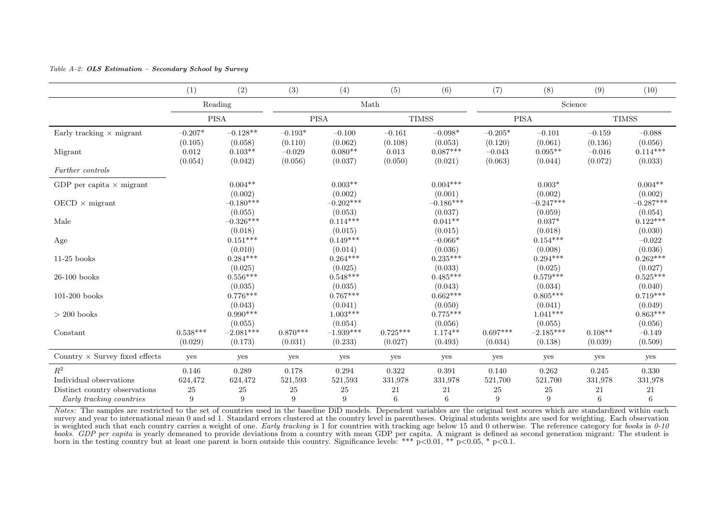#### Table A-2: OLS Estimation – Secondary School by Survey

|                                       | (1)              | (2)                    | (3)                 | (4)                   | (5)              | (6)                   | (7)                 | (8)                  | (9)                 | (10)                  |  |
|---------------------------------------|------------------|------------------------|---------------------|-----------------------|------------------|-----------------------|---------------------|----------------------|---------------------|-----------------------|--|
|                                       | Reading          |                        | Math                |                       |                  |                       | Science             |                      |                     |                       |  |
|                                       |                  | <b>PISA</b>            |                     | <b>PISA</b>           |                  | <b>TIMSS</b>          |                     | <b>PISA</b>          |                     | <b>TIMSS</b>          |  |
| Early tracking $\times$ migrant       | $-0.207*$        | $-0.128**$             | $-0.193*$           | $-0.100$              | $-0.161$         | $-0.098*$             | $-0.205*$           | $-0.101$             | $-0.159$            | $-0.088$              |  |
|                                       | (0.105)<br>0.012 | (0.058)<br>$0.103**$   | (0.110)<br>$-0.029$ | (0.062)<br>$0.080**$  | (0.108)<br>0.013 | (0.053)<br>$0.087***$ | (0.120)<br>$-0.043$ | (0.061)<br>$0.095**$ | (0.136)<br>$-0.016$ | (0.056)<br>$0.114***$ |  |
| Migrant                               | (0.054)          | (0.042)                | (0.056)             | (0.037)               | (0.050)          | (0.021)               | (0.063)             | (0.044)              | (0.072)             | (0.033)               |  |
| Further controls                      |                  |                        |                     |                       |                  |                       |                     |                      |                     |                       |  |
| GDP per capita $\times$ migrant       |                  | $0.004**$              |                     | $0.003**$             |                  | $0.004***$            |                     | $0.003*$             |                     | $0.004**$             |  |
|                                       |                  | (0.002)                |                     | (0.002)               |                  | (0.001)               |                     | (0.002)              |                     | (0.002)               |  |
| $OECD \times$ migrant                 |                  | $-0.180***$            |                     | $-0.202***$           |                  | $-0.186***$           |                     | $-0.247***$          |                     | $-0.287***$           |  |
| Male                                  |                  | (0.055)<br>$-0.326***$ |                     | (0.053)<br>$0.114***$ |                  | (0.037)<br>$0.041**$  |                     | (0.059)<br>$0.037*$  |                     | (0.054)<br>$0.122***$ |  |
|                                       |                  | (0.018)                |                     | (0.015)               |                  | (0.015)               |                     | (0.018)              |                     | (0.030)               |  |
| Age                                   |                  | $0.151***$             |                     | $0.149***$            |                  | $-0.066*$             |                     | $0.154***$           |                     | $-0.022$              |  |
|                                       |                  | (0.010)                |                     | (0.014)               |                  | (0.036)               |                     | (0.008)              |                     | (0.036)               |  |
| $11-25$ books                         |                  | $0.284***$             |                     | $0.264***$            |                  | $0.235***$            |                     | $0.294***$           |                     | $0.262***$            |  |
|                                       |                  | (0.025)                |                     | (0.025)               |                  | (0.033)               |                     | (0.025)              |                     | (0.027)               |  |
| $26-100$ books                        |                  | $0.556***$             |                     | $0.548***$            |                  | $0.485***$            |                     | $0.579***$           |                     | $0.525***$            |  |
|                                       |                  | (0.035)                |                     | (0.035)               |                  | (0.043)               |                     | (0.034)              |                     | (0.040)               |  |
| $101-200$ books                       |                  | $0.776***$             |                     | $0.767***$            |                  | $0.662***$            |                     | $0.805***$           |                     | $0.719***$            |  |
|                                       |                  | (0.043)                |                     | (0.041)               |                  | (0.050)               |                     | (0.041)              |                     | (0.049)               |  |
| $>$ 200 books                         |                  | $0.990***$             |                     | $1.003***$            |                  | $0.775***$            |                     | $1.041***$           |                     | $0.863***$            |  |
|                                       |                  | (0.055)                |                     | (0.054)               |                  | (0.056)               |                     | (0.055)              |                     | (0.056)               |  |
| Constant                              | $0.538***$       | $-2.081***$            | $0.870***$          | $-1.939***$           | $0.725***$       | $1.174**$             | $0.697***$          | $-2.185***$          | $0.108**$           | $-0.149$              |  |
|                                       | (0.029)          | (0.173)                | (0.031)             | (0.233)               | (0.027)          | (0.493)               | (0.034)             | (0.138)              | (0.039)             | (0.509)               |  |
| Country $\times$ Survey fixed effects | yes              | yes                    | yes                 | yes                   | yes              | yes                   | yes                 | yes                  | yes                 | yes                   |  |
| $R^2$                                 | 0.146            | 0.289                  | 0.178               | 0.294                 | 0.322            | 0.391                 | 0.140               | 0.262                | 0.245               | 0.330                 |  |
| Individual observations               | 624,472          | 624,472                | 521,593             | 521,593               | 331,978          | 331,978               | 521,700             | 521,700              | 331,978             | 331,978               |  |
| Distinct country observations         | 25               | $25\,$                 | 25                  | 25                    | 21               | 21                    | 25                  | 25                   | 21                  | 21                    |  |
| Early tracking countries              | 9                | 9                      | 9                   | 9                     | 6                | 6                     | 9                   | 9                    | 6                   | 6                     |  |

Notes: The samples are restricted to the set of countries used in the baseline DiD models. Dependent variables are the original test scores which are standardized within each survey and year to international mean 0 and sd 1. Standard errors clustered at the country level in parentheses. Original students weights are used for weighting. Each observation is weighted such that each country carries a weight of one. Early tracking is 1 for countries with tracking age below 15 and 0 otherwise. The reference category for books is  $0-10$ books. GDP per capita is yearly demeaned to provide deviations from a country with mean GDP per capita. A migrant is defined as second generation migrant: The student is born in the testing country but at least one parent